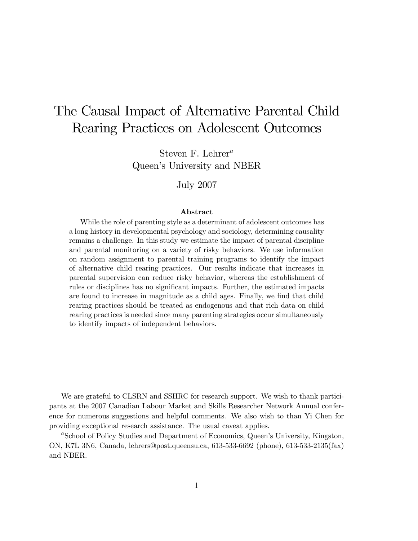# The Causal Impact of Alternative Parental Child Rearing Practices on Adolescent Outcomes

Steven F. Lehrer<sup>a</sup> Queen's University and NBER

#### July 2007

#### Abstract

While the role of parenting style as a determinant of adolescent outcomes has a long history in developmental psychology and sociology, determining causality remains a challenge. In this study we estimate the impact of parental discipline and parental monitoring on a variety of risky behaviors. We use information on random assignment to parental training programs to identify the impact of alternative child rearing practices. Our results indicate that increases in parental supervision can reduce risky behavior, whereas the establishment of rules or disciplines has no significant impacts. Further, the estimated impacts are found to increase in magnitude as a child ages. Finally, we find that child rearing practices should be treated as endogenous and that rich data on child rearing practices is needed since many parenting strategies occur simultaneously to identify impacts of independent behaviors.

We are grateful to CLSRN and SSHRC for research support. We wish to thank participants at the 2007 Canadian Labour Market and Skills Researcher Network Annual conference for numerous suggestions and helpful comments. We also wish to than Yi Chen for providing exceptional research assistance. The usual caveat applies.

<sup>a</sup>School of Policy Studies and Department of Economics, Queen's University, Kingston, ON, K7L 3N6, Canada, lehrers@post.queensu.ca, 613-533-6692 (phone), 613-533-2135(fax) and NBER.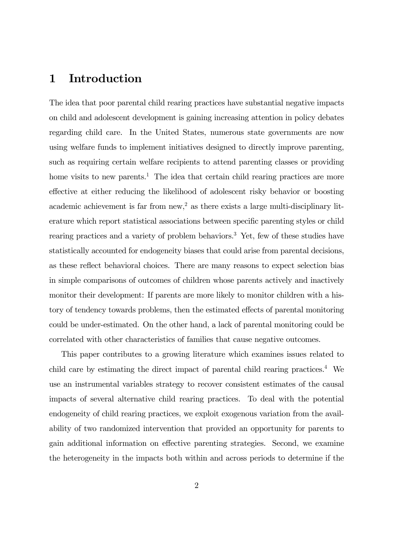### 1 Introduction

The idea that poor parental child rearing practices have substantial negative impacts on child and adolescent development is gaining increasing attention in policy debates regarding child care. In the United States, numerous state governments are now using welfare funds to implement initiatives designed to directly improve parenting, such as requiring certain welfare recipients to attend parenting classes or providing home visits to new parents.<sup>1</sup> The idea that certain child rearing practices are more effective at either reducing the likelihood of adolescent risky behavior or boosting academic achievement is far from  $new<sup>2</sup>$  as there exists a large multi-disciplinary literature which report statistical associations between specific parenting styles or child rearing practices and a variety of problem behaviors.<sup>3</sup> Yet, few of these studies have statistically accounted for endogeneity biases that could arise from parental decisions, as these reflect behavioral choices. There are many reasons to expect selection bias in simple comparisons of outcomes of children whose parents actively and inactively monitor their development: If parents are more likely to monitor children with a history of tendency towards problems, then the estimated effects of parental monitoring could be under-estimated. On the other hand, a lack of parental monitoring could be correlated with other characteristics of families that cause negative outcomes.

This paper contributes to a growing literature which examines issues related to child care by estimating the direct impact of parental child rearing practices.<sup>4</sup> We use an instrumental variables strategy to recover consistent estimates of the causal impacts of several alternative child rearing practices. To deal with the potential endogeneity of child rearing practices, we exploit exogenous variation from the availability of two randomized intervention that provided an opportunity for parents to gain additional information on effective parenting strategies. Second, we examine the heterogeneity in the impacts both within and across periods to determine if the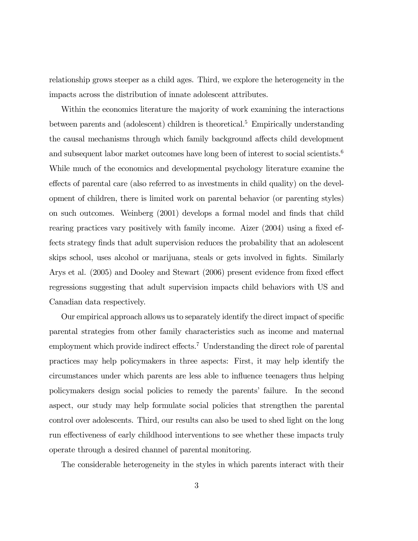relationship grows steeper as a child ages. Third, we explore the heterogeneity in the impacts across the distribution of innate adolescent attributes.

Within the economics literature the majority of work examining the interactions between parents and (adolescent) children is theoretical.<sup>5</sup> Empirically understanding the causal mechanisms through which family background affects child development and subsequent labor market outcomes have long been of interest to social scientists.<sup>6</sup> While much of the economics and developmental psychology literature examine the effects of parental care (also referred to as investments in child quality) on the development of children, there is limited work on parental behavior (or parenting styles) on such outcomes. Weinberg (2001) develops a formal model and finds that child rearing practices vary positively with family income. Aizer (2004) using a fixed effects strategy finds that adult supervision reduces the probability that an adolescent skips school, uses alcohol or marijuana, steals or gets involved in fights. Similarly Arys et al. (2005) and Dooley and Stewart (2006) present evidence from fixed effect regressions suggesting that adult supervision impacts child behaviors with US and Canadian data respectively.

Our empirical approach allows us to separately identify the direct impact of specific parental strategies from other family characteristics such as income and maternal employment which provide indirect effects.<sup>7</sup> Understanding the direct role of parental practices may help policymakers in three aspects: First, it may help identify the circumstances under which parents are less able to influence teenagers thus helping policymakers design social policies to remedy the parents' failure. In the second aspect, our study may help formulate social policies that strengthen the parental control over adolescents. Third, our results can also be used to shed light on the long run effectiveness of early childhood interventions to see whether these impacts truly operate through a desired channel of parental monitoring.

The considerable heterogeneity in the styles in which parents interact with their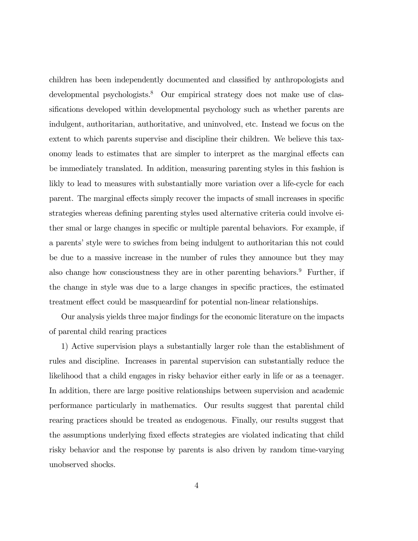children has been independently documented and classified by anthropologists and developmental psychologists.<sup>8</sup> Our empirical strategy does not make use of classifications developed within developmental psychology such as whether parents are indulgent, authoritarian, authoritative, and uninvolved, etc. Instead we focus on the extent to which parents supervise and discipline their children. We believe this taxonomy leads to estimates that are simpler to interpret as the marginal effects can be immediately translated. In addition, measuring parenting styles in this fashion is likly to lead to measures with substantially more variation over a life-cycle for each parent. The marginal effects simply recover the impacts of small increases in specific strategies whereas defining parenting styles used alternative criteria could involve either smal or large changes in specific or multiple parental behaviors. For example, if a parents' style were to swiches from being indulgent to authoritarian this not could be due to a massive increase in the number of rules they announce but they may also change how conscioustness they are in other parenting behaviors.<sup>9</sup> Further, if the change in style was due to a large changes in specific practices, the estimated treatment effect could be masqueardinf for potential non-linear relationships.

Our analysis yields three major findings for the economic literature on the impacts of parental child rearing practices

1) Active supervision plays a substantially larger role than the establishment of rules and discipline. Increases in parental supervision can substantially reduce the likelihood that a child engages in risky behavior either early in life or as a teenager. In addition, there are large positive relationships between supervision and academic performance particularly in mathematics. Our results suggest that parental child rearing practices should be treated as endogenous. Finally, our results suggest that the assumptions underlying fixed effects strategies are violated indicating that child risky behavior and the response by parents is also driven by random time-varying unobserved shocks.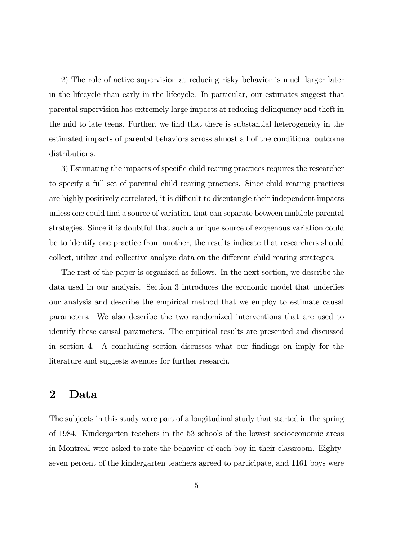2) The role of active supervision at reducing risky behavior is much larger later in the lifecycle than early in the lifecycle. In particular, our estimates suggest that parental supervision has extremely large impacts at reducing delinquency and theft in the mid to late teens. Further, we find that there is substantial heterogeneity in the estimated impacts of parental behaviors across almost all of the conditional outcome distributions.

3) Estimating the impacts of specific child rearing practices requires the researcher to specify a full set of parental child rearing practices. Since child rearing practices are highly positively correlated, it is difficult to disentangle their independent impacts unless one could find a source of variation that can separate between multiple parental strategies. Since it is doubtful that such a unique source of exogenous variation could be to identify one practice from another, the results indicate that researchers should collect, utilize and collective analyze data on the different child rearing strategies.

The rest of the paper is organized as follows. In the next section, we describe the data used in our analysis. Section 3 introduces the economic model that underlies our analysis and describe the empirical method that we employ to estimate causal parameters. We also describe the two randomized interventions that are used to identify these causal parameters. The empirical results are presented and discussed in section 4. A concluding section discusses what our findings on imply for the literature and suggests avenues for further research.

### 2 Data

The subjects in this study were part of a longitudinal study that started in the spring of 1984. Kindergarten teachers in the 53 schools of the lowest socioeconomic areas in Montreal were asked to rate the behavior of each boy in their classroom. Eightyseven percent of the kindergarten teachers agreed to participate, and 1161 boys were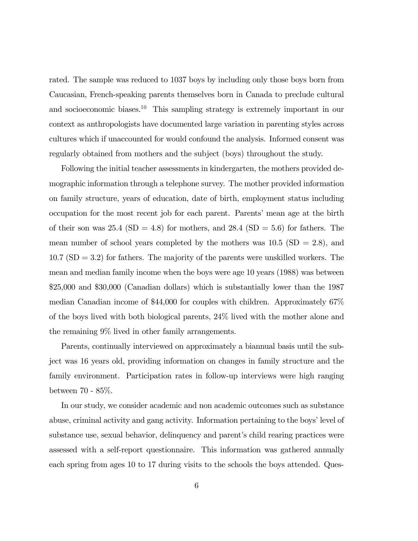rated. The sample was reduced to 1037 boys by including only those boys born from Caucasian, French-speaking parents themselves born in Canada to preclude cultural and socioeconomic biases.<sup>10</sup> This sampling strategy is extremely important in our context as anthropologists have documented large variation in parenting styles across cultures which if unaccounted for would confound the analysis. Informed consent was regularly obtained from mothers and the subject (boys) throughout the study.

Following the initial teacher assessments in kindergarten, the mothers provided demographic information through a telephone survey. The mother provided information on family structure, years of education, date of birth, employment status including occupation for the most recent job for each parent. Parents' mean age at the birth of their son was  $25.4$  (SD = 4.8) for mothers, and  $28.4$  (SD = 5.6) for fathers. The mean number of school years completed by the mothers was  $10.5$  (SD = 2.8), and  $10.7$  (SD  $=$  3.2) for fathers. The majority of the parents were unskilled workers. The mean and median family income when the boys were age 10 years (1988) was between \$25,000 and \$30,000 (Canadian dollars) which is substantially lower than the 1987 median Canadian income of \$44,000 for couples with children. Approximately 67% of the boys lived with both biological parents, 24% lived with the mother alone and the remaining 9% lived in other family arrangements.

Parents, continually interviewed on approximately a biannual basis until the subject was 16 years old, providing information on changes in family structure and the family environment. Participation rates in follow-up interviews were high ranging between 70 - 85%.

In our study, we consider academic and non academic outcomes such as substance abuse, criminal activity and gang activity. Information pertaining to the boys' level of substance use, sexual behavior, delinquency and parent's child rearing practices were assessed with a self-report questionnaire. This information was gathered annually each spring from ages 10 to 17 during visits to the schools the boys attended. Ques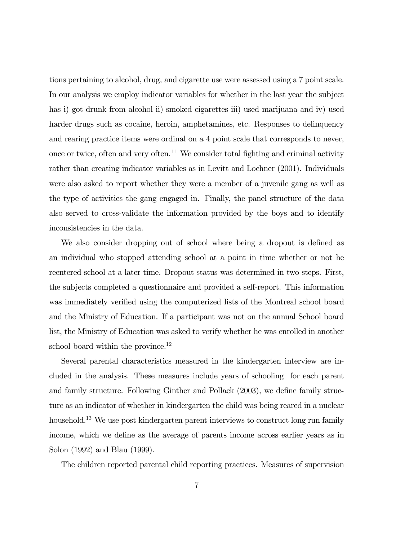tions pertaining to alcohol, drug, and cigarette use were assessed using a 7 point scale. In our analysis we employ indicator variables for whether in the last year the subject has i) got drunk from alcohol ii) smoked cigarettes iii) used marijuana and iv) used harder drugs such as cocaine, heroin, amphetamines, etc. Responses to delinquency and rearing practice items were ordinal on a 4 point scale that corresponds to never, once or twice, often and very often.11 We consider total fighting and criminal activity rather than creating indicator variables as in Levitt and Lochner (2001). Individuals were also asked to report whether they were a member of a juvenile gang as well as the type of activities the gang engaged in. Finally, the panel structure of the data also served to cross-validate the information provided by the boys and to identify inconsistencies in the data.

We also consider dropping out of school where being a dropout is defined as an individual who stopped attending school at a point in time whether or not he reentered school at a later time. Dropout status was determined in two steps. First, the subjects completed a questionnaire and provided a self-report. This information was immediately verified using the computerized lists of the Montreal school board and the Ministry of Education. If a participant was not on the annual School board list, the Ministry of Education was asked to verify whether he was enrolled in another school board within the province.<sup>12</sup>

Several parental characteristics measured in the kindergarten interview are included in the analysis. These measures include years of schooling for each parent and family structure. Following Ginther and Pollack (2003), we define family structure as an indicator of whether in kindergarten the child was being reared in a nuclear household.<sup>13</sup> We use post kindergarten parent interviews to construct long run family income, which we define as the average of parents income across earlier years as in Solon (1992) and Blau (1999).

The children reported parental child reporting practices. Measures of supervision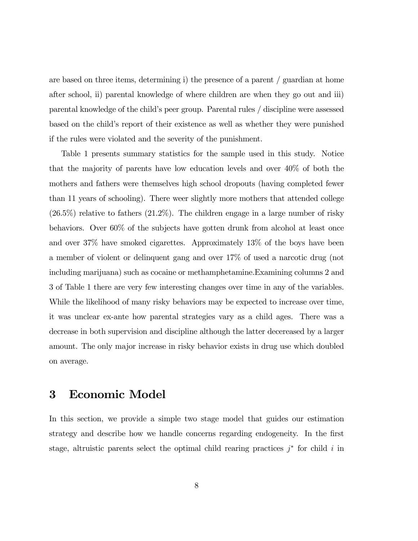are based on three items, determining i) the presence of a parent / guardian at home after school, ii) parental knowledge of where children are when they go out and iii) parental knowledge of the child's peer group. Parental rules / discipline were assessed based on the child's report of their existence as well as whether they were punished if the rules were violated and the severity of the punishment.

Table 1 presents summary statistics for the sample used in this study. Notice that the majority of parents have low education levels and over 40% of both the mothers and fathers were themselves high school dropouts (having completed fewer than 11 years of schooling). There weer slightly more mothers that attended college  $(26.5\%)$  relative to fathers  $(21.2\%)$ . The children engage in a large number of risky behaviors. Over 60% of the subjects have gotten drunk from alcohol at least once and over 37% have smoked cigarettes. Approximately 13% of the boys have been a member of violent or delinquent gang and over 17% of used a narcotic drug (not including marijuana) such as cocaine or methamphetamine.Examining columns 2 and 3 of Table 1 there are very few interesting changes over time in any of the variables. While the likelihood of many risky behaviors may be expected to increase over time, it was unclear ex-ante how parental strategies vary as a child ages. There was a decrease in both supervision and discipline although the latter decereased by a larger amount. The only major increase in risky behavior exists in drug use which doubled on average.

### 3 Economic Model

In this section, we provide a simple two stage model that guides our estimation strategy and describe how we handle concerns regarding endogeneity. In the first stage, altruistic parents select the optimal child rearing practices  $j^*$  for child i in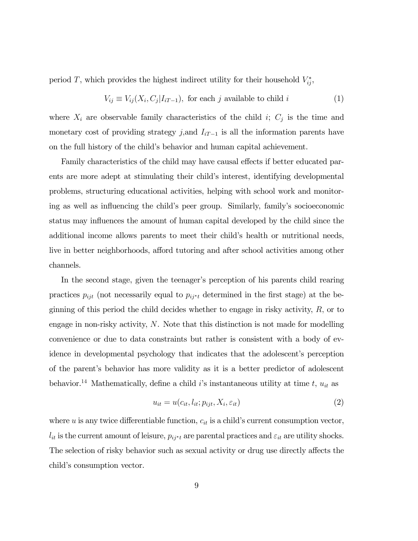period T, which provides the highest indirect utility for their household  $V_{ij}^*$ ,

$$
V_{ij} \equiv V_{ij}(X_i, C_j | I_{iT-1}), \text{ for each } j \text{ available to child } i
$$
 (1)

where  $X_i$  are observable family characteristics of the child i;  $C_j$  is the time and monetary cost of providing strategy j,and  $I_{iT-1}$  is all the information parents have on the full history of the child's behavior and human capital achievement.

Family characteristics of the child may have causal effects if better educated parents are more adept at stimulating their child's interest, identifying developmental problems, structuring educational activities, helping with school work and monitoring as well as influencing the child's peer group. Similarly, family's socioeconomic status may influences the amount of human capital developed by the child since the additional income allows parents to meet their child's health or nutritional needs, live in better neighborhoods, afford tutoring and after school activities among other channels.

In the second stage, given the teenager's perception of his parents child rearing practices  $p_{ijt}$  (not necessarily equal to  $p_{ij*t}$  determined in the first stage) at the beginning of this period the child decides whether to engage in risky activity,  $R$ , or to engage in non-risky activity, N. Note that this distinction is not made for modelling convenience or due to data constraints but rather is consistent with a body of evidence in developmental psychology that indicates that the adolescent's perception of the parent's behavior has more validity as it is a better predictor of adolescent behavior.<sup>14</sup> Mathematically, define a child i's instantaneous utility at time t,  $u_{it}$  as

$$
u_{it} = u(c_{it}, l_{it}; p_{ijt}, X_i, \varepsilon_{it})
$$
\n
$$
(2)
$$

where  $u$  is any twice differentiable function,  $c_{it}$  is a child's current consumption vector,  $l_{it}$  is the current amount of leisure,  $p_{ij^*t}$  are parental practices and  $\varepsilon_{it}$  are utility shocks. The selection of risky behavior such as sexual activity or drug use directly affects the child's consumption vector.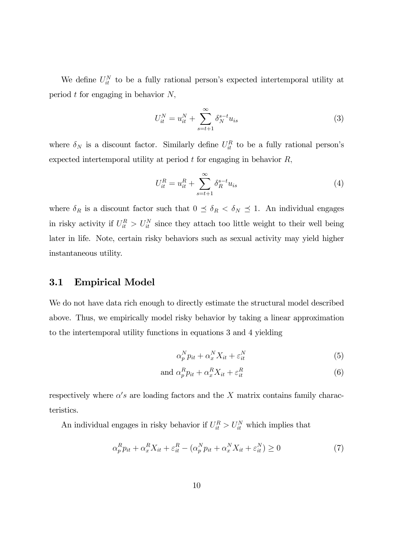We define  $U_{it}^N$  to be a fully rational person's expected intertemporal utility at period  $t$  for engaging in behavior  $N$ ,

$$
U_{it}^N = u_{it}^N + \sum_{s=t+1}^{\infty} \delta_N^{s-t} u_{is}
$$
 (3)

where  $\delta_N$  is a discount factor. Similarly define  $U_{it}^R$  to be a fully rational person's expected intertemporal utility at period  $t$  for engaging in behavior  $R$ ,

$$
U_{it}^{R} = u_{it}^{R} + \sum_{s=t+1}^{\infty} \delta_{R}^{s-t} u_{is}
$$
 (4)

where  $\delta_R$  is a discount factor such that  $0 \leq \delta_R < \delta_N \leq 1$ . An individual engages in risky activity if  $U_{it}^R > U_{it}^N$  since they attach too little weight to their well being later in life. Note, certain risky behaviors such as sexual activity may yield higher instantaneous utility.

### 3.1 Empirical Model

We do not have data rich enough to directly estimate the structural model described above. Thus, we empirically model risky behavior by taking a linear approximation to the intertemporal utility functions in equations 3 and 4 yielding

$$
\alpha_p^N p_{it} + \alpha_x^N X_{it} + \varepsilon_{it}^N \tag{5}
$$

and 
$$
\alpha_p^R p_{it} + \alpha_x^R X_{it} + \varepsilon_{it}^R
$$
 (6)

respectively where  $\alpha's$  are loading factors and the X matrix contains family characteristics.

An individual engages in risky behavior if  $U_{it}^R > U_{it}^N$  which implies that

$$
\alpha_p^R p_{it} + \alpha_x^R X_{it} + \varepsilon_{it}^R - (\alpha_p^N p_{it} + \alpha_x^N X_{it} + \varepsilon_{it}^N) \ge 0 \tag{7}
$$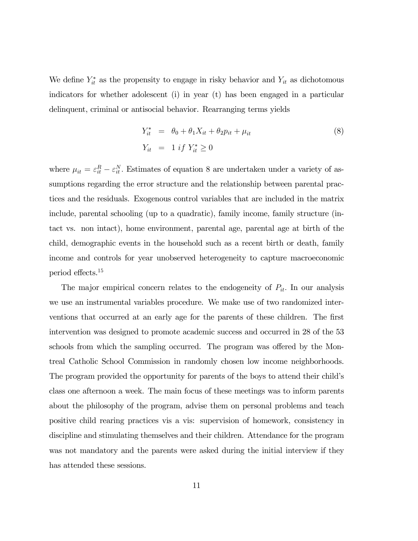We define  $Y_{it}^*$  as the propensity to engage in risky behavior and  $Y_{it}$  as dichotomous indicators for whether adolescent (i) in year (t) has been engaged in a particular delinquent, criminal or antisocial behavior. Rearranging terms yields

$$
Y_{it}^* = \theta_0 + \theta_1 X_{it} + \theta_2 p_{it} + \mu_{it}
$$
  
\n
$$
Y_{it} = 1 \text{ if } Y_{it}^* \ge 0
$$
\n(8)

where  $\mu_{it} = \varepsilon_{it}^R - \varepsilon_{it}^N$ . Estimates of equation 8 are undertaken under a variety of assumptions regarding the error structure and the relationship between parental practices and the residuals. Exogenous control variables that are included in the matrix include, parental schooling (up to a quadratic), family income, family structure (intact vs. non intact), home environment, parental age, parental age at birth of the child, demographic events in the household such as a recent birth or death, family income and controls for year unobserved heterogeneity to capture macroeconomic period effects.15

The major empirical concern relates to the endogeneity of  $P_{it}$ . In our analysis we use an instrumental variables procedure. We make use of two randomized interventions that occurred at an early age for the parents of these children. The first intervention was designed to promote academic success and occurred in 28 of the 53 schools from which the sampling occurred. The program was offered by the Montreal Catholic School Commission in randomly chosen low income neighborhoods. The program provided the opportunity for parents of the boys to attend their child's class one afternoon a week. The main focus of these meetings was to inform parents about the philosophy of the program, advise them on personal problems and teach positive child rearing practices vis a vis: supervision of homework, consistency in discipline and stimulating themselves and their children. Attendance for the program was not mandatory and the parents were asked during the initial interview if they has attended these sessions.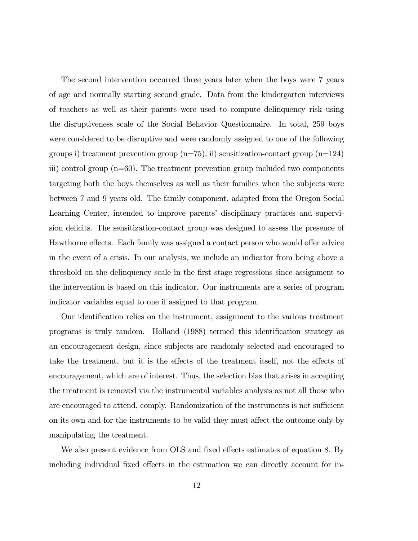The second intervention occurred three years later when the boys were 7 years of age and normally starting second grade. Data from the kindergarten interviews of teachers as well as their parents were used to compute delinquency risk using the disruptiveness scale of the Social Behavior Questionnaire. In total, 259 boys were considered to be disruptive and were randomly assigned to one of the following groups i) treatment prevention group  $(n=75)$ , ii) sensitization-contact group  $(n=124)$ iii) control group (n=60). The treatment prevention group included two components targeting both the boys themselves as well as their families when the subjects were between 7 and 9 years old. The family component, adapted from the Oregon Social Learning Center, intended to improve parents' disciplinary practices and supervision deficits. The sensitization-contact group was designed to assess the presence of Hawthorne effects. Each family was assigned a contact person who would offer advice in the event of a crisis. In our analysis, we include an indicator from being above a threshold on the delinquency scale in the first stage regressions since assignment to the intervention is based on this indicator. Our instruments are a series of program indicator variables equal to one if assigned to that program.

Our identification relies on the instrument, assignment to the various treatment programs is truly random. Holland (1988) termed this identification strategy as an encouragement design, since subjects are randomly selected and encouraged to take the treatment, but it is the effects of the treatment itself, not the effects of encouragement, which are of interest. Thus, the selection bias that arises in accepting the treatment is removed via the instrumental variables analysis as not all those who are encouraged to attend, comply. Randomization of the instruments is not sufficient on its own and for the instruments to be valid they must affect the outcome only by manipulating the treatment.

We also present evidence from OLS and fixed effects estimates of equation 8. By including individual fixed effects in the estimation we can directly account for in-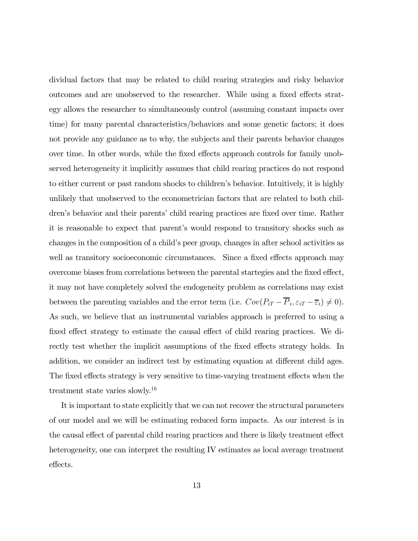dividual factors that may be related to child rearing strategies and risky behavior outcomes and are unobserved to the researcher. While using a fixed effects strategy allows the researcher to simultaneously control (assuming constant impacts over time) for many parental characteristics/behaviors and some genetic factors; it does not provide any guidance as to why, the subjects and their parents behavior changes over time. In other words, while the fixed effects approach controls for family unobserved heterogeneity it implicitly assumes that child rearing practices do not respond to either current or past random shocks to children's behavior. Intuitively, it is highly unlikely that unobserved to the econometrician factors that are related to both children's behavior and their parents' child rearing practices are fixed over time. Rather it is reasonable to expect that parent's would respond to transitory shocks such as changes in the composition of a child's peer group, changes in after school activities as well as transitory socioeconomic circumstances. Since a fixed effects approach may overcome biases from correlations between the parental startegies and the fixed effect, it may not have completely solved the endogeneity problem as correlations may exist between the parenting variables and the error term (i.e.  $Cov(P_{iT} - \overline{P}_i, \varepsilon_{iT} - \overline{\varepsilon}_i) \neq 0$ ). As such, we believe that an instrumental variables approach is preferred to using a fixed effect strategy to estimate the causal effect of child rearing practices. We directly test whether the implicit assumptions of the fixed effects strategy holds. In addition, we consider an indirect test by estimating equation at different child ages. The fixed effects strategy is very sensitive to time-varying treatment effects when the treatment state varies slowly.<sup>16</sup>

It is important to state explicitly that we can not recover the structural parameters of our model and we will be estimating reduced form impacts. As our interest is in the causal effect of parental child rearing practices and there is likely treatment effect heterogeneity, one can interpret the resulting IV estimates as local average treatment effects.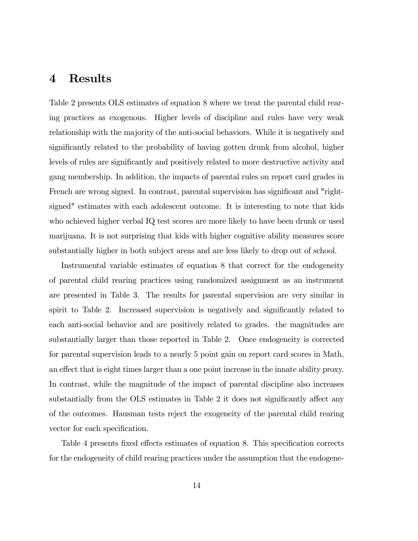### 4 Results

Table 2 presents OLS estimates of equation 8 where we treat the parental child rearing practices as exogenous. Higher levels of discipline and rules have very weak relationship with the majority of the anti-social behaviors. While it is negatively and significantly related to the probability of having gotten drunk from alcohol, higher levels of rules are significantly and positively related to more destructive activity and gang membership. In addition, the impacts of parental rules on report card grades in French are wrong signed. In contrast, parental supervision has significant and "rightsigned" estimates with each adolescent outcome. It is interesting to note that kids who achieved higher verbal IQ test scores are more likely to have been drunk or used marijuana. It is not surprising that kids with higher cognitive ability measures score substantially higher in both subject areas and are less likely to drop out of school.

Instrumental variable estimates of equation 8 that correct for the endogeneity of parental child rearing practices using randomized assignment as an instrument are presented in Table 3. The results for parental supervision are very similar in spirit to Table 2. Increased supervision is negatively and significantly related to each anti-social behavior and are positively related to grades. the magnitudes are substantially larger than those reported in Table 2. Once endogeneity is corrected for parental supervision leads to a nearly 5 point gain on report card scores in Math, an effect that is eight times larger than a one point increase in the innate ability proxy. In contrast, while the magnitude of the impact of parental discipline also increases substantially from the OLS estimates in Table 2 it does not significantly affect any of the outcomes. Hausman tests reject the exogeneity of the parental child rearing vector for each specification.

Table 4 presents fixed effects estimates of equation 8. This specification corrects for the endogeneity of child rearing practices under the assumption that the endogene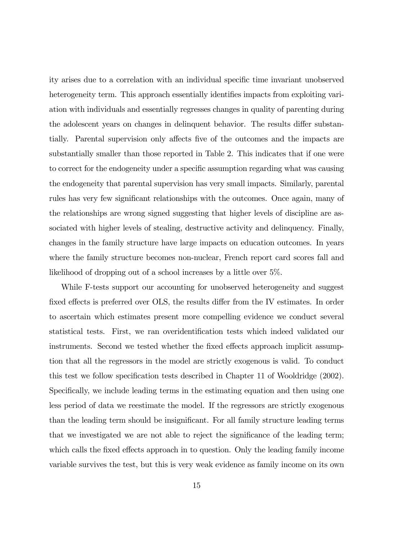ity arises due to a correlation with an individual specific time invariant unobserved heterogeneity term. This approach essentially identifies impacts from exploiting variation with individuals and essentially regresses changes in quality of parenting during the adolescent years on changes in delinquent behavior. The results differ substantially. Parental supervision only affects five of the outcomes and the impacts are substantially smaller than those reported in Table 2. This indicates that if one were to correct for the endogeneity under a specific assumption regarding what was causing the endogeneity that parental supervision has very small impacts. Similarly, parental rules has very few significant relationships with the outcomes. Once again, many of the relationships are wrong signed suggesting that higher levels of discipline are associated with higher levels of stealing, destructive activity and delinquency. Finally, changes in the family structure have large impacts on education outcomes. In years where the family structure becomes non-nuclear, French report card scores fall and likelihood of dropping out of a school increases by a little over 5%.

While F-tests support our accounting for unobserved heterogeneity and suggest fixed effects is preferred over OLS, the results differ from the IV estimates. In order to ascertain which estimates present more compelling evidence we conduct several statistical tests. First, we ran overidentification tests which indeed validated our instruments. Second we tested whether the fixed effects approach implicit assumption that all the regressors in the model are strictly exogenous is valid. To conduct this test we follow specification tests described in Chapter 11 of Wooldridge (2002). Specifically, we include leading terms in the estimating equation and then using one less period of data we reestimate the model. If the regressors are strictly exogenous than the leading term should be insignificant. For all family structure leading terms that we investigated we are not able to reject the significance of the leading term; which calls the fixed effects approach in to question. Only the leading family income variable survives the test, but this is very weak evidence as family income on its own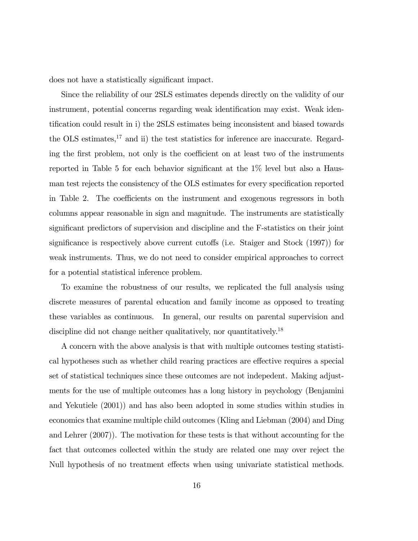does not have a statistically significant impact.

Since the reliability of our 2SLS estimates depends directly on the validity of our instrument, potential concerns regarding weak identification may exist. Weak identification could result in i) the 2SLS estimates being inconsistent and biased towards the OLS estimates, $17$  and ii) the test statistics for inference are inaccurate. Regarding the first problem, not only is the coefficient on at least two of the instruments reported in Table 5 for each behavior significant at the 1% level but also a Hausman test rejects the consistency of the OLS estimates for every specification reported in Table 2. The coefficients on the instrument and exogenous regressors in both columns appear reasonable in sign and magnitude. The instruments are statistically significant predictors of supervision and discipline and the F-statistics on their joint significance is respectively above current cutoffs (i.e. Staiger and Stock (1997)) for weak instruments. Thus, we do not need to consider empirical approaches to correct for a potential statistical inference problem.

To examine the robustness of our results, we replicated the full analysis using discrete measures of parental education and family income as opposed to treating these variables as continuous. In general, our results on parental supervision and discipline did not change neither qualitatively, nor quantitatively.<sup>18</sup>

A concern with the above analysis is that with multiple outcomes testing statistical hypotheses such as whether child rearing practices are effective requires a special set of statistical techniques since these outcomes are not indepedent. Making adjustments for the use of multiple outcomes has a long history in psychology (Benjamini and Yekutiele (2001)) and has also been adopted in some studies within studies in economics that examine multiple child outcomes (Kling and Liebman (2004) and Ding and Lehrer (2007)). The motivation for these tests is that without accounting for the fact that outcomes collected within the study are related one may over reject the Null hypothesis of no treatment effects when using univariate statistical methods.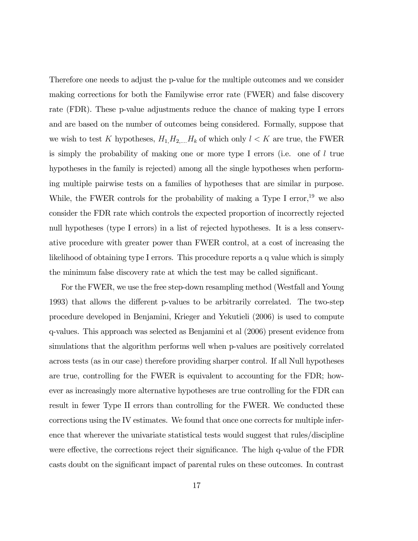Therefore one needs to adjust the p-value for the multiple outcomes and we consider making corrections for both the Familywise error rate (FWER) and false discovery rate (FDR). These p-value adjustments reduce the chance of making type I errors and are based on the number of outcomes being considered. Formally, suppose that we wish to test K hypotheses,  $H_1, H_2, \ldots, H_k$  of which only  $l < K$  are true, the FWER is simply the probability of making one or more type I errors (i.e. one of  $l$  true hypotheses in the family is rejected) among all the single hypotheses when performing multiple pairwise tests on a families of hypotheses that are similar in purpose. While, the FWER controls for the probability of making a Type I error,<sup>19</sup> we also consider the FDR rate which controls the expected proportion of incorrectly rejected null hypotheses (type I errors) in a list of rejected hypotheses. It is a less conservative procedure with greater power than FWER control, at a cost of increasing the likelihood of obtaining type I errors. This procedure reports a q value which is simply the minimum false discovery rate at which the test may be called significant.

For the FWER, we use the free step-down resampling method (Westfall and Young 1993) that allows the different p-values to be arbitrarily correlated. The two-step procedure developed in Benjamini, Krieger and Yekutieli (2006) is used to compute q-values. This approach was selected as Benjamini et al (2006) present evidence from simulations that the algorithm performs well when p-values are positively correlated across tests (as in our case) therefore providing sharper control. If all Null hypotheses are true, controlling for the FWER is equivalent to accounting for the FDR; however as increasingly more alternative hypotheses are true controlling for the FDR can result in fewer Type II errors than controlling for the FWER. We conducted these corrections using the IV estimates. We found that once one corrects for multiple inference that wherever the univariate statistical tests would suggest that rules/discipline were effective, the corrections reject their significance. The high q-value of the FDR casts doubt on the significant impact of parental rules on these outcomes. In contrast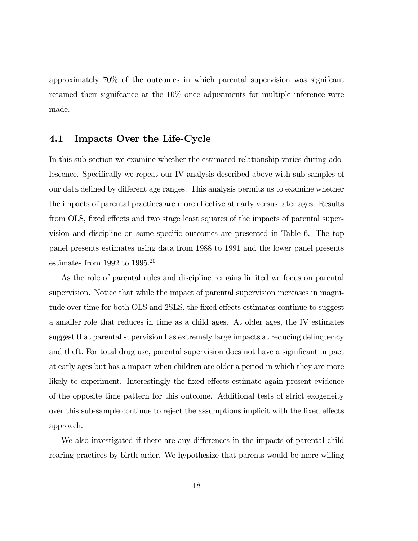approximately 70% of the outcomes in which parental supervision was signifcant retained their signifcance at the 10% once adjustments for multiple inference were made.

#### 4.1 Impacts Over the Life-Cycle

In this sub-section we examine whether the estimated relationship varies during adolescence. Specifically we repeat our IV analysis described above with sub-samples of our data defined by different age ranges. This analysis permits us to examine whether the impacts of parental practices are more effective at early versus later ages. Results from OLS, fixed effects and two stage least squares of the impacts of parental supervision and discipline on some specific outcomes are presented in Table 6. The top panel presents estimates using data from 1988 to 1991 and the lower panel presents estimates from 1992 to  $1995.^{20}$ 

As the role of parental rules and discipline remains limited we focus on parental supervision. Notice that while the impact of parental supervision increases in magnitude over time for both OLS and 2SLS, the fixed effects estimates continue to suggest a smaller role that reduces in time as a child ages. At older ages, the IV estimates suggest that parental supervision has extremely large impacts at reducing delinquency and theft. For total drug use, parental supervision does not have a significant impact at early ages but has a impact when children are older a period in which they are more likely to experiment. Interestingly the fixed effects estimate again present evidence of the opposite time pattern for this outcome. Additional tests of strict exogeneity over this sub-sample continue to reject the assumptions implicit with the fixed effects approach.

We also investigated if there are any differences in the impacts of parental child rearing practices by birth order. We hypothesize that parents would be more willing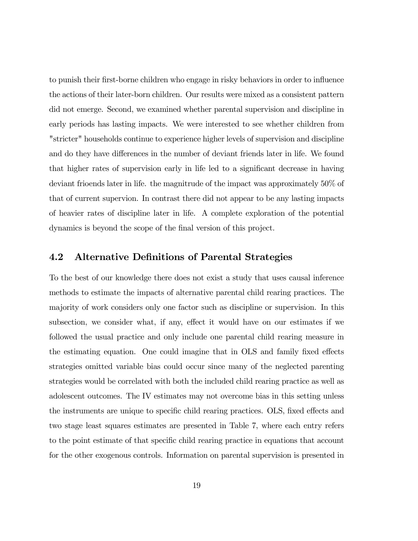to punish their first-borne children who engage in risky behaviors in order to influence the actions of their later-born children. Our results were mixed as a consistent pattern did not emerge. Second, we examined whether parental supervision and discipline in early periods has lasting impacts. We were interested to see whether children from "stricter" households continue to experience higher levels of supervision and discipline and do they have differences in the number of deviant friends later in life. We found that higher rates of supervision early in life led to a significant decrease in having deviant frioends later in life. the magnitrude of the impact was approximately 50% of that of current supervion. In contrast there did not appear to be any lasting impacts of heavier rates of discipline later in life. A complete exploration of the potential dynamics is beyond the scope of the final version of this project.

### 4.2 Alternative Definitions of Parental Strategies

To the best of our knowledge there does not exist a study that uses causal inference methods to estimate the impacts of alternative parental child rearing practices. The majority of work considers only one factor such as discipline or supervision. In this subsection, we consider what, if any, effect it would have on our estimates if we followed the usual practice and only include one parental child rearing measure in the estimating equation. One could imagine that in OLS and family fixed effects strategies omitted variable bias could occur since many of the neglected parenting strategies would be correlated with both the included child rearing practice as well as adolescent outcomes. The IV estimates may not overcome bias in this setting unless the instruments are unique to specific child rearing practices. OLS, fixed effects and two stage least squares estimates are presented in Table 7, where each entry refers to the point estimate of that specific child rearing practice in equations that account for the other exogenous controls. Information on parental supervision is presented in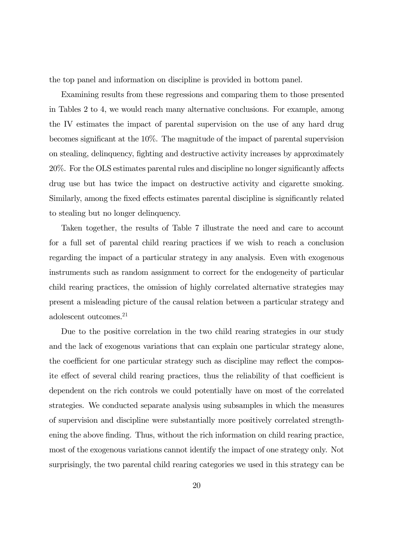the top panel and information on discipline is provided in bottom panel.

Examining results from these regressions and comparing them to those presented in Tables 2 to 4, we would reach many alternative conclusions. For example, among the IV estimates the impact of parental supervision on the use of any hard drug becomes significant at the 10%. The magnitude of the impact of parental supervision on stealing, delinquency, fighting and destructive activity increases by approximately 20%. For the OLS estimates parental rules and discipline no longer significantly affects drug use but has twice the impact on destructive activity and cigarette smoking. Similarly, among the fixed effects estimates parental discipline is significantly related to stealing but no longer delinquency.

Taken together, the results of Table 7 illustrate the need and care to account for a full set of parental child rearing practices if we wish to reach a conclusion regarding the impact of a particular strategy in any analysis. Even with exogenous instruments such as random assignment to correct for the endogeneity of particular child rearing practices, the omission of highly correlated alternative strategies may present a misleading picture of the causal relation between a particular strategy and adolescent outcomes.<sup>21</sup>

Due to the positive correlation in the two child rearing strategies in our study and the lack of exogenous variations that can explain one particular strategy alone, the coefficient for one particular strategy such as discipline may reflect the composite effect of several child rearing practices, thus the reliability of that coefficient is dependent on the rich controls we could potentially have on most of the correlated strategies. We conducted separate analysis using subsamples in which the measures of supervision and discipline were substantially more positively correlated strengthening the above finding. Thus, without the rich information on child rearing practice, most of the exogenous variations cannot identify the impact of one strategy only. Not surprisingly, the two parental child rearing categories we used in this strategy can be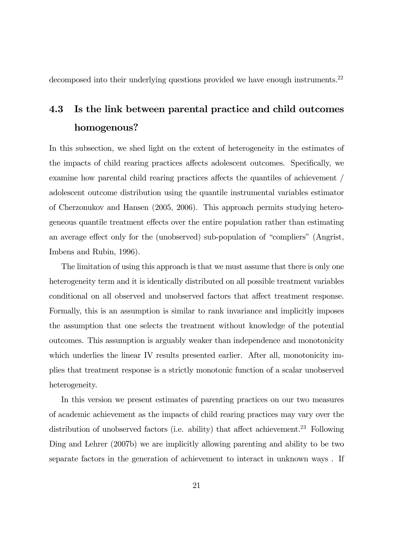decomposed into their underlying questions provided we have enough instruments.<sup>22</sup>

# 4.3 Is the link between parental practice and child outcomes homogenous?

In this subsection, we shed light on the extent of heterogeneity in the estimates of the impacts of child rearing practices affects adolescent outcomes. Specifically, we examine how parental child rearing practices affects the quantiles of achievement / adolescent outcome distribution using the quantile instrumental variables estimator of Cherzonukov and Hansen (2005, 2006). This approach permits studying heterogeneous quantile treatment effects over the entire population rather than estimating an average effect only for the (unobserved) sub-population of "compliers" (Angrist, Imbens and Rubin, 1996).

The limitation of using this approach is that we must assume that there is only one heterogeneity term and it is identically distributed on all possible treatment variables conditional on all observed and unobserved factors that affect treatment response. Formally, this is an assumption is similar to rank invariance and implicitly imposes the assumption that one selects the treatment without knowledge of the potential outcomes. This assumption is arguably weaker than independence and monotonicity which underlies the linear IV results presented earlier. After all, monotonicity implies that treatment response is a strictly monotonic function of a scalar unobserved heterogeneity.

In this version we present estimates of parenting practices on our two measures of academic achievement as the impacts of child rearing practices may vary over the distribution of unobserved factors (i.e. ability) that affect achievement.<sup>23</sup> Following Ding and Lehrer (2007b) we are implicitly allowing parenting and ability to be two separate factors in the generation of achievement to interact in unknown ways . If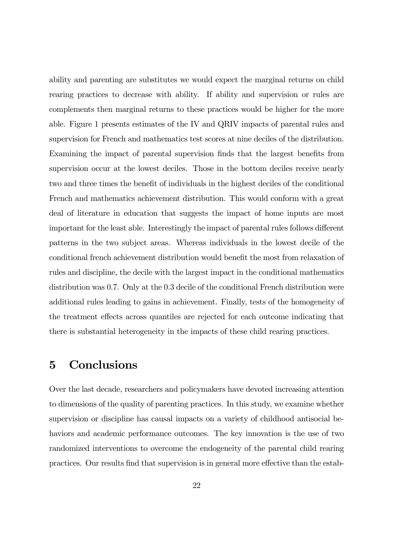ability and parenting are substitutes we would expect the marginal returns on child rearing practices to decrease with ability. If ability and supervision or rules are complements then marginal returns to these practices would be higher for the more able. Figure 1 presents estimates of the IV and QRIV impacts of parental rules and supervision for French and mathematics test scores at nine deciles of the distribution. Examining the impact of parental supervision finds that the largest benefits from supervision occur at the lowest deciles. Those in the bottom deciles receive nearly two and three times the benefit of individuals in the highest deciles of the conditional French and mathematics achievement distribution. This would conform with a great deal of literature in education that suggests the impact of home inputs are most important for the least able. Interestingly the impact of parental rules follows different patterns in the two subject areas. Whereas individuals in the lowest decile of the conditional french achievement distribution would benefit the most from relaxation of rules and discipline, the decile with the largest impact in the conditional mathematics distribution was 0.7. Only at the 0.3 decile of the conditional French distribution were additional rules leading to gains in achievement. Finally, tests of the homogeneity of the treatment effects across quantiles are rejected for each outcome indicating that there is substantial heterogeneity in the impacts of these child rearing practices.

## 5 Conclusions

Over the last decade, researchers and policymakers have devoted increasing attention to dimensions of the quality of parenting practices. In this study, we examine whether supervision or discipline has causal impacts on a variety of childhood antisocial behaviors and academic performance outcomes. The key innovation is the use of two randomized interventions to overcome the endogeneity of the parental child rearing practices. Our results find that supervision is in general more effective than the estab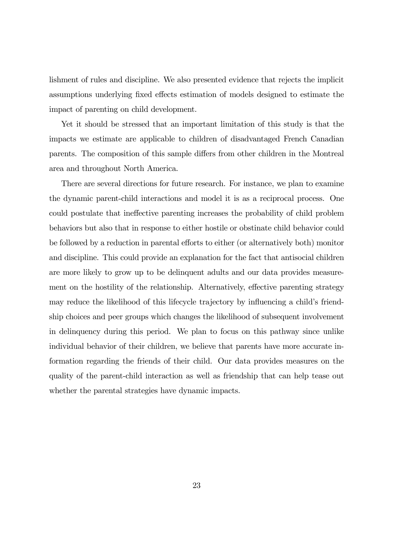lishment of rules and discipline. We also presented evidence that rejects the implicit assumptions underlying fixed effects estimation of models designed to estimate the impact of parenting on child development.

Yet it should be stressed that an important limitation of this study is that the impacts we estimate are applicable to children of disadvantaged French Canadian parents. The composition of this sample differs from other children in the Montreal area and throughout North America.

There are several directions for future research. For instance, we plan to examine the dynamic parent-child interactions and model it is as a reciprocal process. One could postulate that ineffective parenting increases the probability of child problem behaviors but also that in response to either hostile or obstinate child behavior could be followed by a reduction in parental efforts to either (or alternatively both) monitor and discipline. This could provide an explanation for the fact that antisocial children are more likely to grow up to be delinquent adults and our data provides measurement on the hostility of the relationship. Alternatively, effective parenting strategy may reduce the likelihood of this lifecycle trajectory by influencing a child's friendship choices and peer groups which changes the likelihood of subsequent involvement in delinquency during this period. We plan to focus on this pathway since unlike individual behavior of their children, we believe that parents have more accurate information regarding the friends of their child. Our data provides measures on the quality of the parent-child interaction as well as friendship that can help tease out whether the parental strategies have dynamic impacts.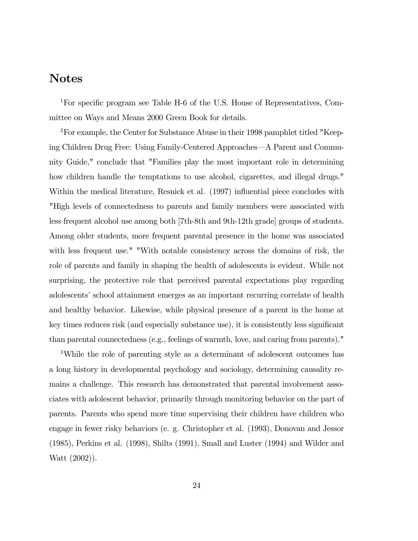### Notes

1For specific program see Table H-6 of the U.S. House of Representatives, Committee on Ways and Means 2000 Green Book for details.

2For example, the Center for Substance Abuse in their 1998 pamphlet titled "Keeping Children Drug Free: Using Family-Centered Approaches–A Parent and Community Guide," conclude that "Families play the most important role in determining how children handle the temptations to use alcohol, cigarettes, and illegal drugs." Within the medical literature, Resnick et al. (1997) influential piece concludes with "High levels of connectedness to parents and family members were associated with less frequent alcohol use among both [7th-8th and 9th-12th grade] groups of students. Among older students, more frequent parental presence in the home was associated with less frequent use." "With notable consistency across the domains of risk, the role of parents and family in shaping the health of adolescents is evident. While not surprising, the protective role that perceived parental expectations play regarding adolescents' school attainment emerges as an important recurring correlate of health and healthy behavior. Likewise, while physical presence of a parent in the home at key times reduces risk (and especially substance use), it is consistently less significant than parental connectedness (e.g., feelings of warmth, love, and caring from parents)."

3While the role of parenting style as a determinant of adolescent outcomes has a long history in developmental psychology and sociology, determining causality remains a challenge. This research has demonstrated that parental involvement associates with adolescent behavior, primarily through monitoring behavior on the part of parents. Parents who spend more time supervising their children have children who engage in fewer risky behaviors (e. g. Christopher et al. (1993), Donovan and Jessor (1985), Perkins et al. (1998), Shilts (1991), Small and Luster (1994) and Wilder and Watt (2002)).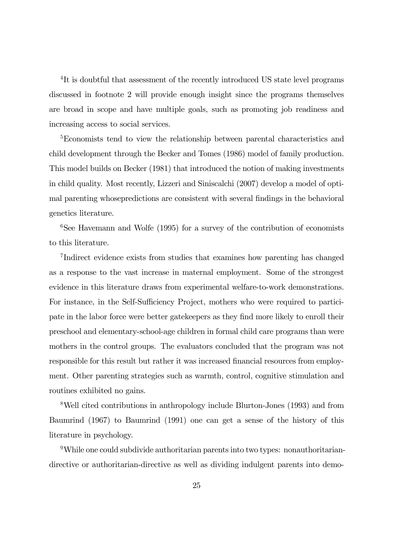<sup>4</sup>It is doubtful that assessment of the recently introduced US state level programs discussed in footnote 2 will provide enough insight since the programs themselves are broad in scope and have multiple goals, such as promoting job readiness and increasing access to social services.

<sup>5</sup>Economists tend to view the relationship between parental characteristics and child development through the Becker and Tomes (1986) model of family production. This model builds on Becker (1981) that introduced the notion of making investments in child quality. Most recently, Lizzeri and Siniscalchi (2007) develop a model of optimal parenting whosepredictions are consistent with several findings in the behavioral genetics literature.

 ${}^{6}$ See Havemann and Wolfe (1995) for a survey of the contribution of economists to this literature.

7Indirect evidence exists from studies that examines how parenting has changed as a response to the vast increase in maternal employment. Some of the strongest evidence in this literature draws from experimental welfare-to-work demonstrations. For instance, in the Self-Sufficiency Project, mothers who were required to participate in the labor force were better gatekeepers as they find more likely to enroll their preschool and elementary-school-age children in formal child care programs than were mothers in the control groups. The evaluators concluded that the program was not responsible for this result but rather it was increased financial resources from employment. Other parenting strategies such as warmth, control, cognitive stimulation and routines exhibited no gains.

8Well cited contributions in anthropology include Blurton-Jones (1993) and from Baumrind (1967) to Baumrind (1991) one can get a sense of the history of this literature in psychology.

9While one could subdivide authoritarian parents into two types: nonauthoritariandirective or authoritarian-directive as well as dividing indulgent parents into demo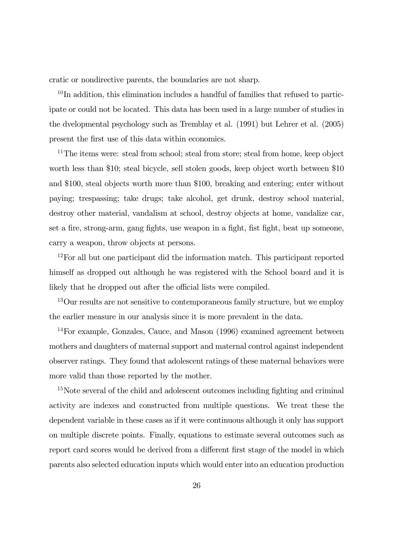cratic or nondirective parents, the boundaries are not sharp.

 $10$ In addition, this elimination includes a handful of families that refused to participate or could not be located. This data has been used in a large number of studies in the dvelopmental psychology such as Tremblay et al. (1991) but Lehrer et al. (2005) present the first use of this data within economics.

<sup>11</sup>The items were: steal from school; steal from store; steal from home, keep object worth less than \$10; steal bicycle, sell stolen goods, keep object worth between \$10 and \$100, steal objects worth more than \$100, breaking and entering; enter without paying; trespassing; take drugs; take alcohol, get drunk, destroy school material, destroy other material, vandalism at school, destroy objects at home, vandalize car, set a fire, strong-arm, gang fights, use weapon in a fight, fist fight, beat up someone, carry a weapon, throw objects at persons.

<sup>12</sup>For all but one participant did the information match. This participant reported himself as dropped out although he was registered with the School board and it is likely that he dropped out after the official lists were compiled.

<sup>13</sup>Our results are not sensitive to contemporaneous family structure, but we employ the earlier measure in our analysis since it is more prevalent in the data.

14For example, Gonzales, Cauce, and Mason (1996) examined agreement between mothers and daughters of maternal support and maternal control against independent observer ratings. They found that adolescent ratings of these maternal behaviors were more valid than those reported by the mother.

<sup>15</sup>Note several of the child and adolescent outcomes including fighting and criminal activity are indexes and constructed from multiple questions. We treat these the dependent variable in these cases as if it were continuous although it only has support on multiple discrete points. Finally, equations to estimate several outcomes such as report card scores would be derived from a different first stage of the model in which parents also selected education inputs which would enter into an education production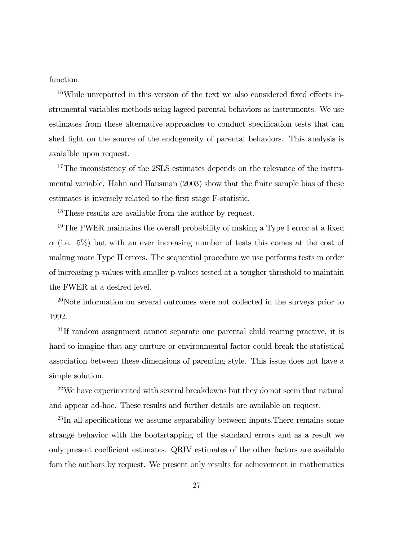function.

<sup>16</sup>While unreported in this version of the text we also considered fixed effects instrumental variables methods using lageed parental behaviors as instruments. We use estimates from these alternative approaches to conduct specification tests that can shed light on the source of the endogeneity of parental behaviors. This analysis is avaialble upon request.

<sup>17</sup>The inconsistency of the 2SLS estimates depends on the relevance of the instrumental variable. Hahn and Hausman (2003) show that the finite sample bias of these estimates is inversely related to the first stage F-statistic.

18These results are available from the author by request.

<sup>19</sup>The FWER maintains the overall probability of making a Type I error at a fixed  $\alpha$  (i.e. 5%) but with an ever increasing number of tests this comes at the cost of making more Type II errors. The sequential procedure we use performs tests in order of increasing p-values with smaller p-values tested at a tougher threshold to maintain the FWER at a desired level.

<sup>20</sup>Note information on several outcomes were not collected in the surveys prior to 1992.

<sup>21</sup>If random assignment cannot separate one parental child rearing practive, it is hard to imagine that any nurture or environmental factor could break the statistical association between these dimensions of parenting style. This issue does not have a simple solution.

<sup>22</sup>We have experimented with several breakdowns but they do not seem that natural and appear ad-hoc. These results and further details are available on request.

 $^{23}$ In all specifications we assume separability between inputs. There remains some strange behavior with the bootsrtapping of the standard errors and as a result we only present coefficient estimates. QRIV estimates of the other factors are available fom the authors by request. We present only results for achievement in mathematics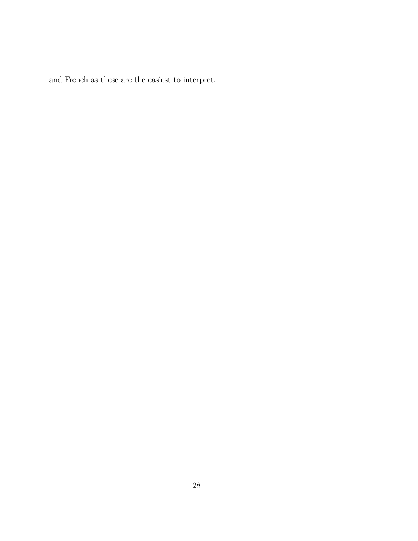and French as these are the easiest to interpret.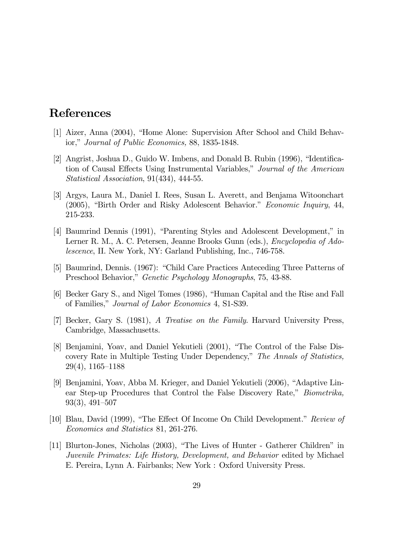## References

- [1] Aizer, Anna (2004), "Home Alone: Supervision After School and Child Behavior," Journal of Public Economics, 88, 1835-1848.
- [2] Angrist, Joshua D., Guido W. Imbens, and Donald B. Rubin (1996), "Identification of Causal Effects Using Instrumental Variables," Journal of the American Statistical Association, 91(434), 444-55.
- [3] Argys, Laura M., Daniel I. Rees, Susan L. Averett, and Benjama Witoonchart (2005), "Birth Order and Risky Adolescent Behavior." Economic Inquiry, 44, 215-233.
- [4] Baumrind Dennis (1991), "Parenting Styles and Adolescent Development," in Lerner R. M., A. C. Petersen, Jeanne Brooks Gunn (eds.), Encyclopedia of Adolescence, II. New York, NY: Garland Publishing, Inc., 746-758.
- [5] Baumrind, Dennis. (1967): "Child Care Practices Anteceding Three Patterns of Preschool Behavior," Genetic Psychology Monographs, 75, 43-88.
- [6] Becker Gary S., and Nigel Tomes (1986), "Human Capital and the Rise and Fall of Families," Journal of Labor Economics 4, S1-S39.
- [7] Becker, Gary S. (1981), A Treatise on the Family. Harvard University Press, Cambridge, Massachusetts.
- [8] Benjamini, Yoav, and Daniel Yekutieli (2001), "The Control of the False Discovery Rate in Multiple Testing Under Dependency," The Annals of Statistics, 29(4), 1165—1188
- [9] Benjamini, Yoav, Abba M. Krieger, and Daniel Yekutieli (2006), "Adaptive Linear Step-up Procedures that Control the False Discovery Rate," Biometrika, 93(3), 491—507
- [10] Blau, David (1999), "The Effect Of Income On Child Development." Review of Economics and Statistics 81, 261-276.
- [11] Blurton-Jones, Nicholas (2003), "The Lives of Hunter Gatherer Children" in Juvenile Primates: Life History, Development, and Behavior edited by Michael E. Pereira, Lynn A. Fairbanks; New York : Oxford University Press.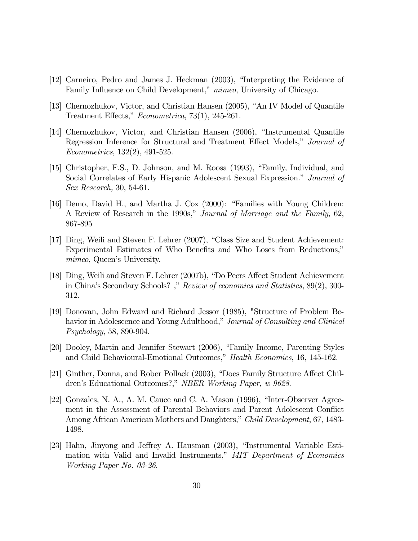- [12] Carneiro, Pedro and James J. Heckman (2003), "Interpreting the Evidence of Family Influence on Child Development," mimeo, University of Chicago.
- [13] Chernozhukov, Victor, and Christian Hansen (2005), "An IV Model of Quantile Treatment Effects," Econometrica, 73(1), 245-261.
- [14] Chernozhukov, Victor, and Christian Hansen (2006), "Instrumental Quantile Regression Inference for Structural and Treatment Effect Models," Journal of Econometrics, 132(2), 491-525.
- [15] Christopher, F.S., D. Johnson, and M. Roosa (1993), "Family, Individual, and Social Correlates of Early Hispanic Adolescent Sexual Expression." Journal of Sex Research, 30, 54-61.
- [16] Demo, David H., and Martha J. Cox (2000): "Families with Young Children: A Review of Research in the 1990s," Journal of Marriage and the Family, 62, 867-895
- [17] Ding, Weili and Steven F. Lehrer (2007), "Class Size and Student Achievement: Experimental Estimates of Who Benefits and Who Loses from Reductions," mimeo, Queen's University.
- [18] Ding, Weili and Steven F. Lehrer (2007b), "Do Peers Affect Student Achievement in China's Secondary Schools? ," Review of economics and Statistics, 89(2), 300- 312.
- [19] Donovan, John Edward and Richard Jessor (1985), "Structure of Problem Behavior in Adolescence and Young Adulthood," Journal of Consulting and Clinical Psychology, 58, 890-904.
- [20] Dooley, Martin and Jennifer Stewart (2006), "Family Income, Parenting Styles and Child Behavioural-Emotional Outcomes," Health Economics, 16, 145-162.
- [21] Ginther, Donna, and Rober Pollack (2003), "Does Family Structure Affect Children's Educational Outcomes?," NBER Working Paper, w 9628.
- [22] Gonzales, N. A., A. M. Cauce and C. A. Mason (1996), "Inter-Observer Agreement in the Assessment of Parental Behaviors and Parent Adolescent Conflict Among African American Mothers and Daughters," Child Development, 67, 1483-1498.
- [23] Hahn, Jinyong and Jeffrey A. Hausman (2003), "Instrumental Variable Estimation with Valid and Invalid Instruments," MIT Department of Economics Working Paper No. 03-26.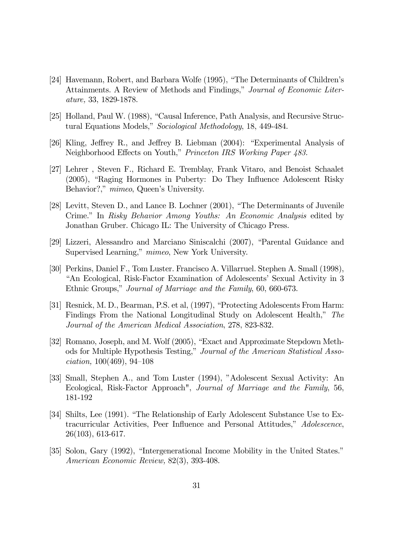- [24] Havemann, Robert, and Barbara Wolfe (1995), "The Determinants of Children's Attainments. A Review of Methods and Findings," Journal of Economic Literature, 33, 1829-1878.
- [25] Holland, Paul W. (1988), "Causal Inference, Path Analysis, and Recursive Structural Equations Models," Sociological Methodology, 18, 449-484.
- [26] Kling, Jeffrey R., and Jeffrey B. Liebman (2004): "Experimental Analysis of Neighborhood Effects on Youth," Princeton IRS Working Paper 483.
- [27] Lehrer , Steven F., Richard E. Tremblay, Frank Vitaro, and Benoist Schaalet (2005), "Raging Hormones in Puberty: Do They Influence Adolescent Risky Behavior?," mimeo, Queen's University.
- [28] Levitt, Steven D., and Lance B. Lochner (2001), "The Determinants of Juvenile Crime." In Risky Behavior Among Youths: An Economic Analysis edited by Jonathan Gruber. Chicago IL: The University of Chicago Press.
- [29] Lizzeri, Alessandro and Marciano Siniscalchi (2007), "Parental Guidance and Supervised Learning," mimeo, New York University.
- [30] Perkins, Daniel F., Tom Luster. Francisco A. Villarruel. Stephen A. Small (1998), "An Ecological, Risk-Factor Examination of Adolescents' Sexual Activity in 3 Ethnic Groups," Journal of Marriage and the Family, 60, 660-673.
- [31] Resnick, M. D., Bearman, P.S. et al, (1997), "Protecting Adolescents From Harm: Findings From the National Longitudinal Study on Adolescent Health," The Journal of the American Medical Association, 278, 823-832.
- [32] Romano, Joseph, and M. Wolf (2005), "Exact and Approximate Stepdown Methods for Multiple Hypothesis Testing," Journal of the American Statistical Association, 100(469), 94—108
- [33] Small, Stephen A., and Tom Luster (1994), "Adolescent Sexual Activity: An Ecological, Risk-Factor Approach", Journal of Marriage and the Family, 56, 181-192
- [34] Shilts, Lee (1991). "The Relationship of Early Adolescent Substance Use to Extracurricular Activities, Peer Influence and Personal Attitudes," Adolescence, 26(103), 613-617.
- [35] Solon, Gary (1992), "Intergenerational Income Mobility in the United States." American Economic Review, 82(3), 393-408.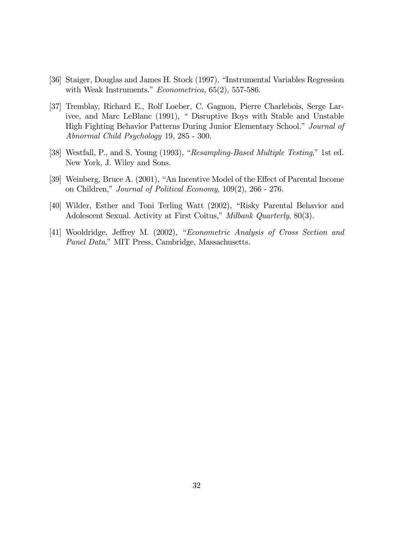- [36] Staiger, Douglas and James H. Stock (1997), "Instrumental Variables Regression with Weak Instruments." Econometrica, 65(2), 557-586.
- [37] Tremblay, Richard E., Rolf Loeber, C. Gagnon, Pierre Charlebois, Serge Larivee, and Marc LeBlanc (1991), " Disruptive Boys with Stable and Unstable High Fighting Behavior Patterns During Junior Elementary School." Journal of Abnormal Child Psychology 19, 285 - 300.
- [38] Westfall, P., and S. Young (1993), "Resampling-Based Multiple Testing," 1st ed. New York, J. Wiley and Sons.
- [39] Weinberg, Bruce A. (2001), "An Incentive Model of the Effect of Parental Income on Children," Journal of Political Economy, 109(2), 266 - 276.
- [40] Wilder, Esther and Toni Terling Watt (2002), "Risky Parental Behavior and Adolescent Sexual. Activity at First Coitus," Milbank Quarterly, 80(3).
- [41] Wooldridge, Jeffrey M. (2002), "Econometric Analysis of Cross Section and Panel Data," MIT Press, Cambridge, Massachusetts.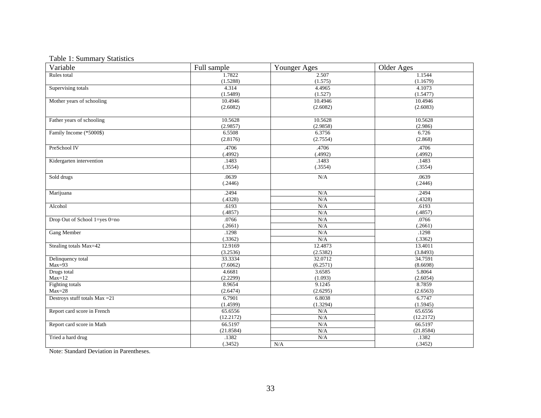### Table 1: Summary Statistics

| Variable                       | Full sample | Younger Ages | Older Ages |
|--------------------------------|-------------|--------------|------------|
| Rules total                    | 1.7822      | 2.507        | 1.1544     |
|                                | (1.5288)    | (1.575)      | (1.1679)   |
| Supervising totals             | 4.314       | 4.4965       | 4.1073     |
|                                | (1.5489)    | (1.527)      | (1.5477)   |
| Mother years of schooling      | 10.4946     | 10.4946      | 10.4946    |
|                                | (2.6082)    | (2.6082)     | (2.6083)   |
|                                |             |              |            |
| Father years of schooling      | 10.5628     | 10.5628      | 10.5628    |
|                                | (2.9857)    | (2.9858)     | (2.986)    |
| Family Income (*5000\$)        | 6.5508      | 6.3756       | 6.726      |
|                                | (2.8176)    | (2.7554)     | (2.868)    |
| PreSchool IV                   | .4706       | .4706        | .4706      |
|                                | (.4992)     | (.4992)      | (.4992)    |
| Kidergarten intervention       | .1483       | .1483        | .1483      |
|                                | (.3554)     | (.3554)      | (.3554)    |
|                                | .0639       |              | .0639      |
| Sold drugs                     |             | N/A          |            |
|                                | (.2446)     |              | (.2446)    |
| Marijuana                      | .2494       | N/A          | .2494      |
|                                | (.4328)     | N/A          | (.4328)    |
| Alcohol                        | .6193       | N/A          | .6193      |
|                                | (.4857)     | N/A          | (.4857)    |
| Drop Out of School 1=yes 0=no  | .0766       | N/A          | .0766      |
|                                | (.2661)     | N/A          | (.2661)    |
| <b>Gang Member</b>             | .1298       | N/A          | .1298      |
|                                | (.3362)     | N/A          | (.3362)    |
| Stealing totals Max=42         | 12.9169     | 12.4873      | 13.4011    |
|                                | (3.2536)    | (2.5382)     | (3.8493)   |
| Delinquency total              | 33.3334     | 32.0712      | 34.7591    |
| $Max=93$                       | (7.6062)    | (6.2571)     | (8.6698)   |
| Drugs total                    | 4.6681      | 3.6585       | 5.8064     |
| $Max=12$                       | (2.2299)    | (1.093)      | (2.6054)   |
| Fighting totals                | 8.9654      | 9.1245       | 8.7859     |
| $Max=28$                       | (2.6474)    | (2.6295)     | (2.6563)   |
| Destroys stuff totals Max = 21 | 6.7901      | 6.8038       | 6.7747     |
|                                | (1.4599)    | (1.3294)     | (1.5945)   |
| Report card score in French    | 65.6556     | N/A          | 65.6556    |
|                                | (12.2172)   | N/A          | (12.2172)  |
| Report card score in Math      | 66.5197     | N/A          | 66.5197    |
|                                | (21.8584)   | N/A          | (21.8584)  |
| Tried a hard drug              | .1382       | N/A          | .1382      |
|                                | (.3452)     | N/A          | (.3452)    |

Note: Standard Deviation in Parentheses.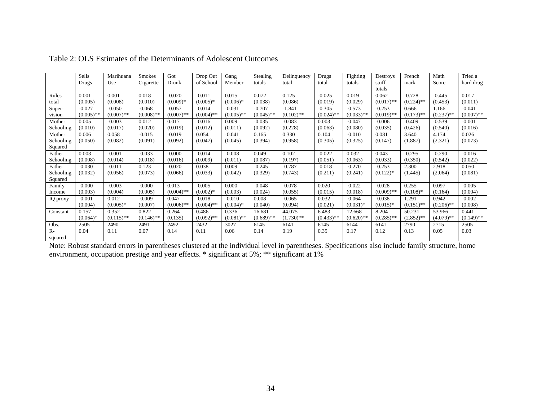|           | Sells        | Marihuana    | Smokes       | Got          | Drop Out     | Gang         | Stealing     | Delinquency  | Drugs        | Fighting     | Destroys     | French       | Math         | Tried a      |
|-----------|--------------|--------------|--------------|--------------|--------------|--------------|--------------|--------------|--------------|--------------|--------------|--------------|--------------|--------------|
|           | Drugs        | Use          | Cigarette    | Drunk        | of School    | Member       | totals       | total        | total        | totals       | stuff        | mark         | Score        | hard drug    |
|           |              |              |              |              |              |              |              |              |              |              | totals       |              |              |              |
| Rules     | 0.001        | 0.001        | 0.018        | $-0.020$     | $-0.011$     | 0.015        | 0.072        | 0.125        | $-0.025$     | 0.019        | 0.062        | $-0.728$     | $-0.445$     | 0.017        |
| total     | (0.005)      | (0.008)      | (0.010)      | $(0.009)*$   | $(0.005)*$   | $(0.006)*$   | (0.038)      | (0.086)      | (0.019)      | (0.029)      | $(0.017)$ ** | $(0.224)$ ** | (0.453)      | (0.011)      |
| Super-    | $-0.027$     | $-0.050$     | $-0.068$     | $-0.057$     | $-0.014$     | $-0.031$     | $-0.707$     | $-1.841$     | $-0.305$     | $-0.573$     | $-0.253$     | 0.666        | 1.166        | $-0.041$     |
| vision    | $(0.005)$ ** | $(0.007)$ ** | $(0.008)$ ** | $(0.007)$ ** | $(0.004)$ ** | $(0.005)$ ** | $(0.045)$ ** | $(0.102)$ ** | $(0.024)$ ** | $(0.033)$ ** | $(0.019)$ ** | $(0.173)$ ** | $(0.237)$ ** | $(0.007)$ ** |
| Mother    | 0.005        | $-0.003$     | 0.012        | 0.017        | $-0.016$     | 0.009        | $-0.035$     | $-0.083$     | 0.003        | $-0.047$     | $-0.006$     | $-0.409$     | $-0.539$     | $-0.001$     |
| Schooling | (0.010)      | (0.017)      | (0.020)      | (0.019)      | (0.012)      | (0.011)      | (0.092)      | (0.228)      | (0.063)      | (0.080)      | (0.035)      | (0.426)      | (0.540)      | (0.016)      |
| Mother    | 0.006        | 0.058        | $-0.015$     | $-0.019$     | 0.054        | $-0.041$     | 0.165        | 0.330        | 0.104        | $-0.010$     | 0.081        | 3.640        | 4.174        | 0.026        |
| Schooling | (0.050)      | (0.082)      | (0.091)      | (0.092)      | (0.047)      | (0.045)      | (0.394)      | (0.958)      | (0.305)      | (0.325)      | (0.147)      | (1.887)      | (2.321)      | (0.073)      |
| Squared   |              |              |              |              |              |              |              |              |              |              |              |              |              |              |
| Father    | 0.003        | $-0.001$     | $-0.033$     | $-0.000$     | $-0.014$     | $-0.008$     | 0.049        | 0.102        | $-0.022$     | 0.032        | 0.043        | $-0.295$     | $-0.290$     | $-0.016$     |
| Schooling | (0.008)      | (0.014)      | (0.018)      | (0.016)      | (0.009)      | (0.011)      | (0.087)      | (0.197)      | (0.051)      | (0.063)      | (0.033)      | (0.350)      | (0.542)      | (0.022)      |
| Father    | $-0.030$     | $-0.011$     | 0.123        | $-0.020$     | 0.038        | 0.009        | $-0.245$     | $-0.787$     | $-0.018$     | $-0.270$     | $-0.253$     | 2.300        | 2.918        | 0.050        |
| Schooling | (0.032)      | (0.056)      | (0.073)      | (0.066)      | (0.033)      | (0.042)      | (0.329)      | (0.743)      | (0.211)      | (0.241)      | $(0.122)$ *  | (1.445)      | (2.064)      | (0.081)      |
| Squared   |              |              |              |              |              |              |              |              |              |              |              |              |              |              |
| Family    | $-0.000$     | $-0.003$     | $-0.000$     | 0.013        | $-0.005$     | 0.000        | $-0.048$     | $-0.078$     | 0.020        | $-0.022$     | $-0.028$     | 0.255        | 0.097        | $-0.005$     |
| Income    | (0.003)      | (0.004)      | (0.005)      | $(0.004)$ ** | $(0.002)*$   | (0.003)      | (0.024)      | (0.055)      | (0.015)      | (0.018)      | $(0.009)$ ** | $(0.108)$ *  | (0.164)      | (0.004)      |
| IQ proxy  | $-0.001$     | 0.012        | $-0.009$     | 0.047        | $-0.018$     | $-0.010$     | 0.008        | $-0.065$     | 0.032        | $-0.064$     | $-0.038$     | 1.291        | 0.942        | $-0.002$     |
|           | (0.004)      | $(0.005)*$   | (0.007)      | $(0.006)$ ** | $(0.004)$ ** | $(0.004)$ *  | (0.040)      | (0.094)      | (0.021)      | $(0.031)$ *  | $(0.015)*$   | $(0.151)$ ** | $(0.206)$ ** | (0.008)      |
| Constant  | 0.157        | 0.352        | 0.822        | 0.264        | 0.486        | 0.336        | 16.681       | 44.075       | 6.483        | 12.668       | 8.204        | 50.231       | 53.966       | 0.441        |
|           | $(0.064)$ *  | $(0.115)$ ** | $(0.146)$ ** | (0.135)      | $(0.092)$ ** | $(0.081)$ ** | $(0.689)$ ** | $(1.730)**$  | $(0.433)$ ** | $(0.620)$ ** | $(0.285)$ ** | $(2.852)$ ** | $(4.079)$ ** | $(0.149)$ ** |
| Obs.      | 2505         | 2490         | 2491         | 2492         | 2432         | 3027         | 6145         | 6141         | 6145         | 6144         | 6141         | 2790         | 2715         | 2505         |
| $R-$      | 0.04         | 0.11         | 0.07         | 0.14         | 0.11         | 0.06         | 0.14         | 0.19         | 0.35         | 0.17         | 0.12         | 0.13         | 0.05         | 0.03         |
| squared   |              |              |              |              |              |              |              |              |              |              |              |              |              |              |

Table 2: OLS Estimates of the Determinants of Adolescent Outcomes

Note: Robust standard errors in parentheses clustered at the individual level in parentheses. Specifications also include family structure, home environment, occupation prestige and year effects. \* significant at 5%; \*\* significant at 1%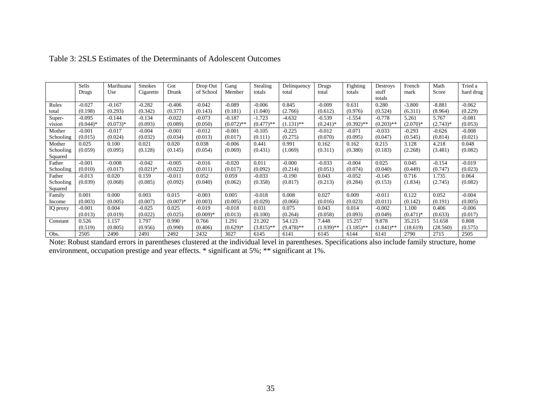|           | Sells      | Marihuana  | <b>Smokes</b> | Got        | Drop Out   | Gang         | Stealing     | Delinquency  | Drugs        | Fighting     | Destroys     | French     | Math       | Tried a   |
|-----------|------------|------------|---------------|------------|------------|--------------|--------------|--------------|--------------|--------------|--------------|------------|------------|-----------|
|           | Drugs      | Use        | Cigarette     | Drunk      | of School  | Member       | totals       | total        | total        | totals       | stuff        | mark       | Score      | hard drug |
|           |            |            |               |            |            |              |              |              |              |              | totals       |            |            |           |
| Rules     | $-0.027$   | $-0.167$   | $-0.282$      | $-0.406$   | $-0.042$   | $-0.089$     | $-0.006$     | 0.845        | $-0.009$     | 0.631        | 0.280        | $-3.800$   | $-8.881$   | $-0.062$  |
| total     | (0.198)    | (0.293)    | (0.342)       | (0.377)    | (0.143)    | (0.181)      | (1.040)      | (2.766)      | (0.612)      | (0.976)      | (0.524)      | (6.311)    | (8.964)    | (0.229)   |
| Super-    | $-0.095$   | $-0.144$   | $-0.134$      | $-0.022$   | $-0.073$   | $-0.187$     | $-1.723$     | $-4.632$     | $-0.539$     | $-1.554$     | $-0.778$     | 5.261      | 5.767      | $-0.081$  |
| vision    | $(0.044)*$ | $(0.073)*$ | (0.093)       | (0.089)    | (0.050)    | $(0.072)$ ** | $(0.477)$ ** | $(1.131)$ ** | $(0.241)$ *  | $(0.392)$ ** | $(0.203)$ ** | $(2.070)*$ | $(2.743)*$ | (0.053)   |
| Mother    | $-0.001$   | $-0.017$   | $-0.004$      | $-0.001$   | $-0.012$   | $-0.001$     | $-0.105$     | $-0.225$     | $-0.012$     | $-0.071$     | $-0.033$     | $-0.293$   | $-0.626$   | $-0.008$  |
| Schooling | (0.015)    | (0.024)    | (0.032)       | (0.034)    | (0.013)    | (0.017)      | (0.111)      | (0.275)      | (0.070)      | (0.095)      | (0.047)      | (0.545)    | (0.814)    | (0.021)   |
| Mother    | 0.025      | 0.100      | 0.021         | 0.020      | 0.038      | $-0.006$     | 0.441        | 0.991        | 0.162        | 0.162        | 0.215        | 3.128      | 4.218      | 0.048     |
| Schooling | (0.059)    | (0.095)    | (0.128)       | (0.145)    | (0.054)    | (0.069)      | (0.431)      | (1.069)      | (0.311)      | (0.380)      | (0.183)      | (2.268)    | (3.481)    | (0.082)   |
| Squared   |            |            |               |            |            |              |              |              |              |              |              |            |            |           |
| Father    | $-0.001$   | $-0.008$   | $-0.042$      | $-0.005$   | $-0.016$   | $-0.020$     | 0.011        | $-0.000$     | $-0.033$     | $-0.004$     | 0.025        | 0.045      | $-0.154$   | $-0.019$  |
| Schooling | (0.010)    | (0.017)    | $(0.021)$ *   | (0.022)    | (0.011)    | (0.017)      | (0.092)      | (0.214)      | (0.051)      | (0.074)      | (0.040)      | (0.449)    | (0.747)    | (0.023)   |
| Father    | $-0.013$   | 0.020      | 0.159         | $-0.011$   | 0.052      | 0.059        | $-0.033$     | $-0.190$     | 0.043        | $-0.052$     | $-0.145$     | 0.716      | 1.735      | 0.064     |
| Schooling | (0.039)    | (0.068)    | (0.085)       | (0.092)    | (0.040)    | (0.062)      | (0.358)      | (0.817)      | (0.213)      | (0.284)      | (0.153)      | (1.834)    | (2.745)    | (0.082)   |
| Squared   |            |            |               |            |            |              |              |              |              |              |              |            |            |           |
| Family    | 0.001      | 0.000      | 0.003         | 0.015      | $-0.003$   | 0.005        | $-0.018$     | 0.008        | 0.027        | 0.009        | $-0.011$     | 0.122      | 0.052      | $-0.004$  |
| Income    | (0.003)    | (0.005)    | (0.007)       | $(0.007)*$ | (0.003)    | (0.005)      | (0.029)      | (0.066)      | (0.016)      | (0.023)      | (0.011)      | (0.142)    | (0.191)    | (0.005)   |
| IQ proxy  | $-0.001$   | 0.004      | $-0.025$      | 0.025      | $-0.019$   | $-0.018$     | 0.031        | 0.075        | 0.043        | 0.014        | $-0.002$     | 1.100      | 0.406      | $-0.006$  |
|           | (0.013)    | (0.019)    | (0.022)       | (0.025)    | $(0.009)*$ | (0.013)      | (0.100)      | (0.264)      | (0.058)      | (0.093)      | (0.049)      | $(0.471)*$ | (0.633)    | (0.017)   |
| Constant  | 0.526      | 1.157      | 1.797         | 0.990      | 0.766      | 1.291        | 21.202       | 54.123       | 7.448        | 15.257       | 9.878        | 35.215     | 51.658     | 0.808     |
|           | (0.519)    | (0.805)    | (0.956)       | (0.990)    | (0.406)    | $(0.629)*$   | $(3.815)$ ** | $(9.478)$ ** | $(1.939)$ ** | $(3.185)$ ** | $(1.841)$ ** | (18.619)   | (28.560)   | (0.575)   |
| Obs.      | 2505       | 2490       | 2491          | 2492       | 2432       | 3027         | 6145         | 6141         | 6145         | 6144         | 6141         | 2790       | 2715       | 2505      |

#### Table 3: 2SLS Estimates of the Determinants of Adolescent Outcomes

 Note: Robust standard errors in parentheses clustered at the individual level in parentheses. Specifications also include family structure, home environment, occupation prestige and year effects. \* significant at 5%; \*\* significant at 1%.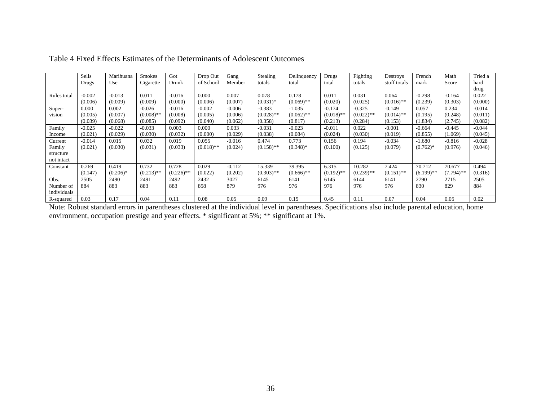|             | Sells<br>Drugs | Marihuana<br>Use | <b>Smokes</b><br>Cigarette | Got<br>Drunk | Drop Out<br>of School | Gang<br>Member | Stealing<br>totals | Delinquency<br>total | Drugs<br>total | Fighting<br>totals | Destroys<br>stuff totals | French<br>mark | Math<br>Score | Tried a<br>hard |
|-------------|----------------|------------------|----------------------------|--------------|-----------------------|----------------|--------------------|----------------------|----------------|--------------------|--------------------------|----------------|---------------|-----------------|
|             |                |                  |                            |              |                       |                |                    |                      |                |                    |                          |                |               | drug            |
| Rules total | $-0.002$       | $-0.013$         | 0.011                      | $-0.016$     | 0.000                 | 0.007          | 0.078              | 0.178                | 0.011          | 0.031              | 0.064                    | $-0.298$       | $-0.164$      | 0.022           |
|             | (0.006)        | (0.009)          | (0.009)                    | (0.000)      | (0.006)               | (0.007)        | $(0.031)*$         | $(0.069)$ **         | (0.020)        | (0.025)            | $(0.016)$ **             | (0.239)        | (0.303)       | (0.000)         |
| Super-      | 0.000          | 0.002            | $-0.026$                   | $-0.016$     | $-0.002$              | $-0.006$       | $-0.383$           | $-1.035$             | $-0.174$       | $-0.325$           | -0.149                   | 0.057          | 0.234         | $-0.014$        |
| vision      | (0.005)        | (0.007)          | $(0.008)$ **               | (0.008)      | (0.005)               | (0.006)        | $(0.028)$ **       | $(0.062)$ **         | $(0.018)$ **   | $(0.022)$ **       | $(0.014)$ **             | (0.195)        | (0.248)       | (0.011)         |
|             | (0.039)        | (0.068)          | (0.085)                    | (0.092)      | (0.040)               | (0.062)        | (0.358)            | (0.817)              | (0.213)        | (0.284)            | (0.153)                  | (1.834)        | (2.745)       | (0.082)         |
| Family      | $-0.025$       | $-0.022$         | $-0.033$                   | 0.003        | 0.000                 | 0.033          | $-0.031$           | $-0.023$             | $-0.011$       | 0.022              | $-0.001$                 | $-0.664$       | $-0.445$      | $-0.044$        |
| Income      | (0.021)        | (0.029)          | (0.030)                    | (0.032)      | (0.000)               | (0.029)        | (0.038)            | (0.084)              | (0.024)        | (0.030)            | (0.019)                  | (0.855)        | (1.069)       | (0.045)         |
| Current     | $-0.014$       | 0.015            | 0.032                      | 0.019        | 0.055                 | $-0.016$       | 0.474              | 0.773                | 0.156          | 0.194              | $-0.034$                 | $-1.680$       | $-0.816$      | $-0.028$        |
| Family      | (0.021)        | (0.030)          | (0.031)                    | (0.033)      | $(0.018)$ **          | (0.024)        | $(0.158)$ **       | $(0.348)$ *          | (0.100)        | (0.125)            | (0.079)                  | $(0.762)$ *    | (0.976)       | (0.046)         |
| structure   |                |                  |                            |              |                       |                |                    |                      |                |                    |                          |                |               |                 |
| not intact  |                |                  |                            |              |                       |                |                    |                      |                |                    |                          |                |               |                 |
| Constant    | 0.269          | 0.419            | 0.732                      | 0.728        | 0.029                 | $-0.112$       | 15.339             | 39.395               | 6.315          | 10.282             | 7.424                    | 70.712         | 70.677        | 0.494           |
|             | (0.147)        | $(0.206)^*$      | $(0.213)$ **               | $(0.226)$ ** | (0.022)               | (0.202)        | $(0.303)$ **       | $(0.666)$ **         | $(0.192)$ **   | $(0.239)$ **       | $(0.151)$ **             | $(6.199)$ **   | $(7.794)$ **  | (0.316)         |
| Obs.        | 2505           | 2490             | 2491                       | 2492         | 2432                  | 3027           | 6145               | 6141                 | 6145           | 6144               | 6141                     | 2790           | 2715          | 2505            |
| Number of   | 884            | 883              | 883                        | 883          | 858                   | 879            | 976                | 976                  | 976            | 976                | 976                      | 830            | 829           | 884             |
| individuals |                |                  |                            |              |                       |                |                    |                      |                |                    |                          |                |               |                 |
| R-squared   | 0.03           | 0.17             | 0.04                       | 0.11         | 0.08                  | 0.05           | 0.09               | 0.15                 | 0.45           | 0.11               | 0.07                     | 0.04           | 0.05          | 0.02            |

Table 4 Fixed Effects Estimates of the Determinants of Adolescent Outcomes

Note: Robust standard errors in parentheses clustered at the individual level in parentheses. Specifications also include parental education, home environment, occupation prestige and year effects. \* significant at 5%; \*\* significant at 1%.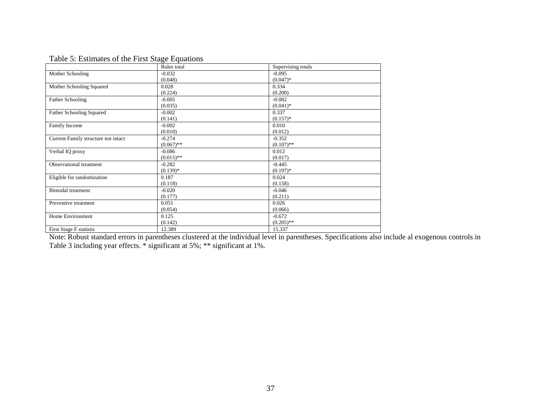| Table 5: Estimates of the First Stage Equations |  |
|-------------------------------------------------|--|
|                                                 |  |

|                                     | Rules total  | Supervising totals |
|-------------------------------------|--------------|--------------------|
| Mother Schooling                    | $-0.032$     | $-0.095$           |
|                                     | (0.048)      | $(0.047)*$         |
| Mother Schooling Squared            | 0.028        | 0.334              |
|                                     | (0.224)      | (0.200)            |
| <b>Father Schooling</b>             | $-0.005$     | $-0.082$           |
|                                     | (0.035)      | $(0.041)^*$        |
| <b>Father Schooling Squared</b>     | $-0.002$     | 0.337              |
|                                     | (0.141)      | $(0.157)*$         |
| Family Income                       | $-0.002$     | 0.010              |
|                                     | (0.010)      | (0.012)            |
| Current Family structure not intact | $-0.274$     | $-0.352$           |
|                                     | $(0.067)$ ** | $(0.107)$ **       |
| Verbal IQ proxy                     | $-0.086$     | 0.012              |
|                                     | $(0.015)$ ** | (0.017)            |
| Observational treatment             | $-0.282$     | $-0.445$           |
|                                     | $(0.139)*$   | $(0.197)*$         |
| Eligible for randomization          | 0.187        | 0.024              |
|                                     | (0.118)      | (0.158)            |
| <b>Bimodal</b> treatment            | $-0.020$     | $-0.046$           |
|                                     | (0.177)      | (0.211)            |
| Preventive treatment                | 0.051        | 0.026              |
|                                     | (0.054)      | (0.066)            |
| Home Environment                    | 0.125        | $-0.672$           |
|                                     | (0.142)      | $(0.205)$ **       |
| First Stage F statistic             | 12.389       | 15.337             |

Note: Robust standard errors in parentheses clustered at the individual level in parentheses. Specifications also include al exogenous controls in Table 3 including year effects. \* significant at 5%; \*\* significant at 1%.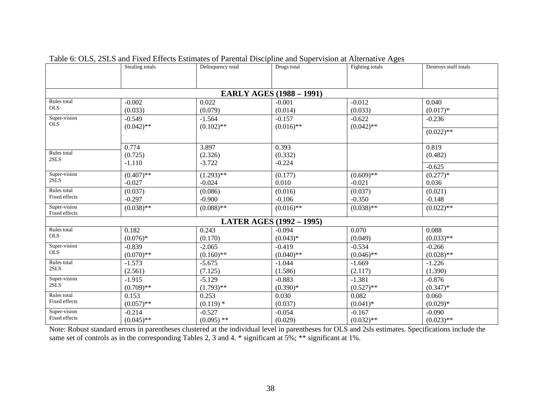|                                 | Stealing totals | Delinquency total | Drugs total                     | Fighting totals | Destroys stuff totals |  |  |  |  |  |  |  |  |
|---------------------------------|-----------------|-------------------|---------------------------------|-----------------|-----------------------|--|--|--|--|--|--|--|--|
|                                 |                 |                   |                                 |                 |                       |  |  |  |  |  |  |  |  |
|                                 |                 |                   |                                 |                 |                       |  |  |  |  |  |  |  |  |
| <b>EARLY AGES (1988 – 1991)</b> |                 |                   |                                 |                 |                       |  |  |  |  |  |  |  |  |
| Rules total                     | $-0.002$        | 0.022             | $-0.001$                        | $-0.012$        | 0.040                 |  |  |  |  |  |  |  |  |
| <b>OLS</b>                      | (0.033)         | (0.079)           | (0.014)                         | (0.033)         | $(0.017)*$            |  |  |  |  |  |  |  |  |
| Super-vision                    | $-0.549$        | $-1.564$          | $-0.157$                        | $-0.622$        | $-0.236$              |  |  |  |  |  |  |  |  |
| <b>OLS</b>                      | $(0.042)$ **    | $(0.102)$ **      | $(0.016)$ **                    | $(0.042)$ **    |                       |  |  |  |  |  |  |  |  |
|                                 |                 |                   |                                 |                 | $(0.022)$ **          |  |  |  |  |  |  |  |  |
|                                 | 0.774           | 3.897             | 0.393                           |                 | 0.819                 |  |  |  |  |  |  |  |  |
| Rules total                     | (0.725)         | (2.326)           | (0.332)                         |                 | (0.482)               |  |  |  |  |  |  |  |  |
| 2SLS                            | $-1.110$        | $-3.722$          | $-0.224$                        |                 |                       |  |  |  |  |  |  |  |  |
|                                 |                 |                   |                                 |                 | $-0.625$              |  |  |  |  |  |  |  |  |
| Super-vision<br>2SLS            | $(0.407)$ **    | $(1.293)$ **      | (0.177)                         | $(0.609)$ **    | $(0.277)*$            |  |  |  |  |  |  |  |  |
|                                 | $-0.027$        | $-0.024$          | 0.010                           | $-0.021$        | 0.036                 |  |  |  |  |  |  |  |  |
| Rules total<br>Fixed effects    | (0.037)         | (0.086)           | (0.016)                         | (0.037)         | (0.021)               |  |  |  |  |  |  |  |  |
|                                 | $-0.297$        | $-0.900$          | $-0.106$                        | $-0.350$        | $-0.148$              |  |  |  |  |  |  |  |  |
| Super-vision<br>Fixed effects   | $(0.038)$ **    | $(0.088)$ **      | $(0.016)$ **                    | $(0.038)$ **    | $(0.022)$ **          |  |  |  |  |  |  |  |  |
|                                 |                 |                   | <b>LATER AGES (1992 – 1995)</b> |                 |                       |  |  |  |  |  |  |  |  |
| Rules total                     | 0.182           | 0.243             | $-0.094$                        | 0.070           | 0.088                 |  |  |  |  |  |  |  |  |
| <b>OLS</b>                      | $(0.076)*$      | (0.170)           | $(0.043)*$                      | (0.049)         | $(0.033)$ **          |  |  |  |  |  |  |  |  |
| Super-vision                    | $-0.839$        | $-2.065$          | $-0.419$                        | $-0.534$        | $-0.266$              |  |  |  |  |  |  |  |  |
| <b>OLS</b>                      | $(0.070)$ **    | $(0.160)$ **      | $(0.040)$ **                    | $(0.046)$ **    | $(0.028)$ **          |  |  |  |  |  |  |  |  |
| Rules total                     | $-1.573$        | $-5.675$          | $-1.044$                        | $-1.669$        | $-1.226$              |  |  |  |  |  |  |  |  |
| 2SLS                            | (2.561)         | (7.125)           | (1.586)                         | (2.117)         | (1.390)               |  |  |  |  |  |  |  |  |
| Super-vision                    | $-1.915$        | $-5.129$          | $-0.883$                        | $-1.381$        | $-0.876$              |  |  |  |  |  |  |  |  |
| 2SLS                            | $(0.709)$ **    | $(1.793)$ **      | $(0.390)*$                      | $(0.527)$ **    | $(0.347)^*$           |  |  |  |  |  |  |  |  |
| Rules total                     | 0.153           | 0.253             | 0.030                           | 0.082           | 0.060                 |  |  |  |  |  |  |  |  |
| Fixed effects                   | $(0.057)$ **    | $(0.119)$ *       | (0.037)                         | $(0.041)$ *     | $(0.029)*$            |  |  |  |  |  |  |  |  |
| Super-vision                    | $-0.214$        | $-0.527$          | $-0.054$                        | $-0.167$        | $-0.090$              |  |  |  |  |  |  |  |  |
| Fixed effects                   | $(0.045)$ **    | $(0.095)$ **      | (0.029)                         | $(0.032)$ **    | $(0.023)$ **          |  |  |  |  |  |  |  |  |

Table 6: OLS, 2SLS and Fixed Effects Estimates of Parental Discipline and Supervision at Alternative Ages

Note: Robust standard errors in parentheses clustered at the individual level in parentheses for OLS and 2sls estimates. Specifications include the same set of controls as in the corresponding Tables 2, 3 and 4. \* significant at 5%; \*\* significant at 1%.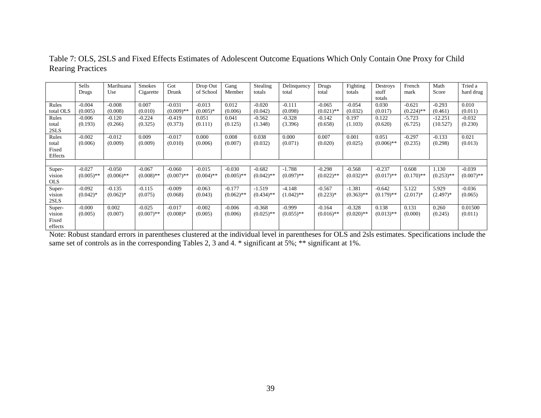|            | Sells<br>Drugs | Marihuana<br>Use | <b>Smokes</b><br>Cigarette | Got<br>Drunk | Drop Out<br>of School | Gang<br>Member | <b>Stealing</b><br>totals | Delinquency<br>total | Drugs<br>total | Fighting<br>totals | Destroys<br>stuff | French<br>mark | Math<br>Score | Tried a<br>hard drug |
|------------|----------------|------------------|----------------------------|--------------|-----------------------|----------------|---------------------------|----------------------|----------------|--------------------|-------------------|----------------|---------------|----------------------|
|            |                |                  |                            |              |                       |                |                           |                      |                |                    | totals            |                |               |                      |
| Rules      | $-0.004$       | $-0.008$         | 0.007                      | $-0.031$     | $-0.013$              | 0.012          | $-0.020$                  | $-0.111$             | $-0.065$       | $-0.054$           | 0.030             | $-0.621$       | $-0.293$      | 0.010                |
| total OLS  | (0.005)        | (0.008)          | (0.010)                    | $(0.009)$ ** | $(0.005)*$            | (0.006)        | (0.042)                   | (0.098)              | $(0.021)$ **   | (0.032)            | (0.017)           | $(0.224)$ **   | (0.461)       | (0.011)              |
| Rules      | $-0.006$       | $-0.120$         | $-0.224$                   | $-0.419$     | 0.051                 | 0.041          | $-0.562$                  | $-0.328$             | $-0.142$       | 0.197              | 0.122             | $-5.723$       | $-12.251$     | $-0.032$             |
| total      | (0.193)        | (0.266)          | (0.325)                    | (0.373)      | (0.111)               | (0.125)        | (1.348)                   | (3.396)              | (0.658)        | (1.103)            | (0.620)           | (6.725)        | (10.527)      | (0.230)              |
| 2SLS       |                |                  |                            |              |                       |                |                           |                      |                |                    |                   |                |               |                      |
| Rules      | $-0.002$       | $-0.012$         | 0.009                      | $-0.017$     | 0.000                 | 0.008          | 0.038                     | 0.000                | 0.007          | 0.001              | 0.051             | $-0.297$       | $-0.133$      | 0.021                |
| total      | (0.006)        | (0.009)          | (0.009)                    | (0.010)      | (0.006)               | (0.007)        | (0.032)                   | (0.071)              | (0.020)        | (0.025)            | $(0.006)$ **      | (0.235)        | (0.298)       | (0.013)              |
| Fixed      |                |                  |                            |              |                       |                |                           |                      |                |                    |                   |                |               |                      |
| Effects    |                |                  |                            |              |                       |                |                           |                      |                |                    |                   |                |               |                      |
|            |                |                  |                            |              |                       |                |                           |                      |                |                    |                   |                |               |                      |
| Super-     | $-0.027$       | $-0.050$         | $-0.067$                   | $-0.060$     | $-0.015$              | $-0.030$       | $-0.682$                  | $-1.788$             | $-0.298$       | $-0.568$           | $-0.237$          | 0.608          | 1.130         | $-0.039$             |
| vision     | $(0.005)$ **   | $(0.006)$ **     | $(0.008)$ **               | $(0.007)$ ** | $(0.004)$ **          | $(0.005)$ **   | $(0.042)$ **              | $(0.097)$ **         | $(0.022)$ **   | $(0.032)$ **       | $(0.017)$ **      | $(0.170)$ **   | $(0.253)$ **  | $(0.007)$ **         |
| <b>OLS</b> |                |                  |                            |              |                       |                |                           |                      |                |                    |                   |                |               |                      |
| Super-     | $-0.092$       | $-0.135$         | $-0.115$                   | $-0.009$     | $-0.063$              | $-0.177$       | $-1.519$                  | $-4.148$             | $-0.567$       | $-1.381$           | $-0.642$          | 5.122          | 5.929         | $-0.036$             |
| vision     | $(0.042)$ *    | $(0.062)^*$      | (0.075)                    | (0.068)      | (0.043)               | $(0.062)$ **   | $(0.434)$ **              | $(1.042)$ **         | $(0.223)*$     | $(0.363)$ **       | $(0.179)$ **      | $(2.017)*$     | $(2.497)*$    | (0.065)              |
| 2SLS       |                |                  |                            |              |                       |                |                           |                      |                |                    |                   |                |               |                      |
| Super-     | $-0.000$       | 0.002            | $-0.025$                   | $-0.017$     | $-0.002$              | $-0.006$       | $-0.368$                  | $-0.999$             | $-0.164$       | $-0.328$           | 0.138             | 0.131          | 0.260         | 0.01500              |
| vision     | (0.005)        | (0.007)          | $(0.007)$ **               | $(0.008)*$   | (0.005)               | (0.006)        | $(0.025)$ **              | $(0.055)$ **         | $(0.016)$ **   | $(0.020)$ **       | $(0.013)$ **      | (0.000)        | (0.245)       | (0.011)              |
| Fixed      |                |                  |                            |              |                       |                |                           |                      |                |                    |                   |                |               |                      |
| effects    |                |                  |                            |              |                       |                |                           |                      |                |                    |                   |                |               |                      |

Table 7: OLS, 2SLS and Fixed Effects Estimates of Adolescent Outcome Equations Which Only Contain One Proxy for Child Rearing Practices

Note: Robust standard errors in parentheses clustered at the individual level in parentheses for OLS and 2sls estimates. Specifications include the same set of controls as in the corresponding Tables 2, 3 and 4. \* significant at 5%; \*\* significant at 1%.